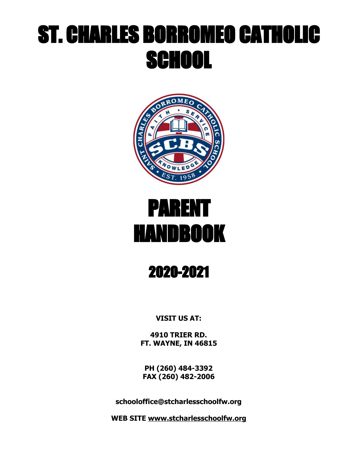# ST. CHARLES BORROMEO CATHOLIC SCHOOL



# PARENT HANDBOOK

## 2020-2021

**VISIT US AT:**

**4910 TRIER RD. FT. WAYNE, IN 46815**

**PH (260) 484-3392 FAX (260) 482-2006**

**schooloffice@stcharlesschoolfw.org**

**WEB SITE [www.stcharlesschoolfw.org](http://www.stcfw.org/)**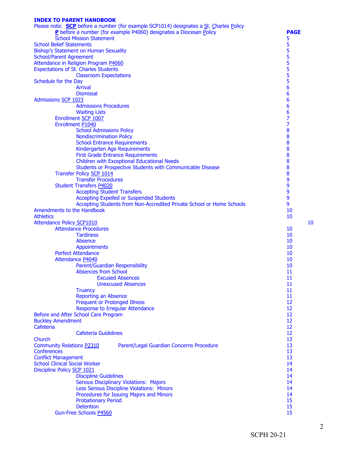#### **INDEX TO PARENT HANDBOOK**

| Please note: <b>SCP</b> before a number (for example SCP1014) designates a St. Charles Policy |                |
|-----------------------------------------------------------------------------------------------|----------------|
| P before a number (for example P4060) designates a Diocesan Policy                            | <b>PAGE</b>    |
| <b>School Mission Statement</b>                                                               | 5              |
| <b>School Belief Statements</b>                                                               | 5              |
| Bishop's Statement on Human Sexuality                                                         | 5              |
| <b>School/Parent Agreement</b>                                                                | 5<br>5<br>5    |
| Attendance in Religion Program P4060                                                          |                |
| <b>Expectations of St. Charles Students</b>                                                   | 5              |
| <b>Classroom Expectations</b><br>Schedule for the Day                                         | 5              |
| <b>Arrival</b>                                                                                | 6              |
| <b>Dismissal</b>                                                                              | 6              |
| <b>Admissions SCP 1023</b>                                                                    | 6              |
| <b>Admissions Procedures</b>                                                                  | 6              |
| <b>Waiting Lists</b>                                                                          | 6              |
| Enrollment SCP 1007                                                                           | $\overline{7}$ |
| Enrollment P1040                                                                              | 7              |
| <b>School Admissions Policy</b>                                                               | 8              |
| <b>Nondiscrimination Policy</b>                                                               | 8              |
| <b>School Entrance Requirements</b>                                                           | 8              |
| Kindergarten Age Requirements                                                                 | 8              |
| <b>First Grade Entrance Requirements</b>                                                      | 8              |
| <b>Children with Exceptional Educational Needs</b>                                            | 8              |
| Students or Prospective Students with Communicable Disease                                    | 8              |
| Transfer Policy SCP 1014                                                                      | 8              |
| <b>Transfer Procedures</b>                                                                    | 9              |
| <b>Student Transfers P4020</b>                                                                | 9              |
| <b>Accepting Student Transfers</b>                                                            | 9              |
| <b>Accepting Expelled or Suspended Students</b>                                               | 9              |
| Accepting Students from Non-Accredited Private School or Home Schools                         | 9              |
| Amendments to the Handbook                                                                    | 10             |
| <b>Athletics</b>                                                                              | 10             |
| <b>Attendance Policy SCP1010</b>                                                              | 10             |
| <b>Attendance Procedures</b>                                                                  | 10             |
| <b>Tardiness</b><br>Absence                                                                   | 10<br>10       |
| <b>Appointments</b>                                                                           | 10             |
| <b>Perfect Attendance</b>                                                                     | 10             |
| Attendance P4040                                                                              | 10             |
| Parent/Guardian Responsibility                                                                | 10             |
| <b>Absences from School</b>                                                                   | 11             |
| <b>Excused Absences</b>                                                                       | 11             |
| <b>Unexcused Absences</b>                                                                     | 11             |
| <b>Truancy</b>                                                                                | 11             |
| <b>Reporting an Absence</b>                                                                   | 11             |
| <b>Frequent or Prolonged Illness</b>                                                          | 12             |
| Response to Irregular Attendance                                                              | 12             |
| Before and After School Care Program                                                          | 12             |
| <b>Buckley Amendment</b>                                                                      | 12             |
| Cafeteria                                                                                     | 12             |
| <b>Cafeteria Guidelines</b>                                                                   | 12             |
| Church                                                                                        | 13             |
| <b>Community Relations P2310</b><br>Parent/Legal Guardian Concerns Procedure                  | 13             |
| <b>Conferences</b>                                                                            | 13             |
| <b>Conflict Management</b>                                                                    | 13             |
| <b>School Clinical Social Worker</b>                                                          | 14             |
| Discipline Policy SCP 1021<br><b>Discipline Guidelines</b>                                    | 14<br>14       |
| <b>Serious Disciplinary Violations: Majors</b>                                                | 14             |
| Less Serious Discipline Violations: Minors                                                    | 14             |
| Procedures for Issuing Majors and Minors                                                      | 14             |
| <b>Probationary Period</b>                                                                    | 15             |
| <b>Detention</b>                                                                              | 15             |
| Gun-Free Schools P4560                                                                        | 15             |
|                                                                                               |                |

2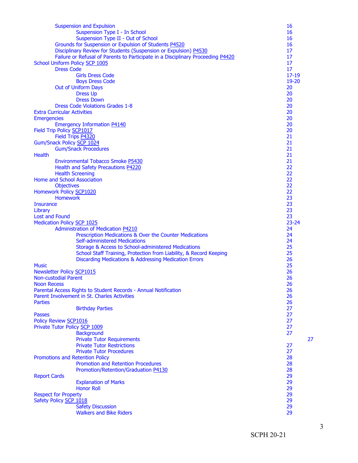| <b>Suspension and Expulsion</b>                                                 | 16              |    |
|---------------------------------------------------------------------------------|-----------------|----|
| Suspension Type I - In School                                                   | 16              |    |
| Suspension Type II - Out of School                                              | 16              |    |
| Grounds for Suspension or Expulsion of Students P4520                           | 16              |    |
| Disciplinary Review for Students (Suspension or Expulsion) P4530                | 17              |    |
| Failure or Refusal of Parents to Participate in a Disciplinary Proceeding P4420 | 17              |    |
| School Uniform Policy SCP 1005                                                  | 17              |    |
| <b>Dress Code</b>                                                               | 17              |    |
| <b>Girls Dress Code</b>                                                         | $17 - 19$       |    |
| <b>Boys Dress Code</b>                                                          | 19-20           |    |
| <b>Out of Uniform Days</b>                                                      | 20<br>20        |    |
| <b>Dress Up</b><br><b>Dress Down</b>                                            | 20              |    |
| <b>Dress Code Violations Grades 1-8</b>                                         | 20              |    |
| <b>Extra Curricular Activities</b>                                              | 20              |    |
| <b>Emergencies</b>                                                              | 20              |    |
| <b>Emergency Information P4140</b>                                              | 20              |    |
| Field Trip Policy SCP1017                                                       | 20              |    |
| Field Trips P4320                                                               | 21              |    |
| Gum/Snack Policy SCP 1024                                                       | 21              |    |
| <b>Gum/Snack Procedures</b>                                                     | 21              |    |
| <b>Health</b>                                                                   | 21              |    |
| <b>Environmental Tobacco Smoke P5430</b>                                        | 21              |    |
| Health and Safety Precautions P4220                                             | 22              |    |
| <b>Health Screening</b>                                                         | 22              |    |
| Home and School Association                                                     | 22              |    |
| <b>Objectives</b>                                                               | 22              |    |
| Homework Policy SCP1020                                                         | 22              |    |
| <b>Homework</b>                                                                 | 23              |    |
| <b>Insurance</b>                                                                | 23              |    |
| Library                                                                         | 23              |    |
| <b>Lost and Found</b>                                                           | 23<br>$23 - 24$ |    |
| <b>Medication Policy SCP 1025</b><br>Administration of Medication P4210         | 24              |    |
| Prescription Medications & Over the Counter Medications                         | 24              |    |
| <b>Self-administered Medications</b>                                            | 24              |    |
| Storage & Access to School-administered Medications                             | 25              |    |
| School Staff Training, Protection from Liability, & Record Keeping              | 25              |    |
| Discarding Medications & Addressing Medication Errors                           | 26              |    |
| <b>Music</b>                                                                    | 25              |    |
| <b>Newsletter Policy SCP1015</b>                                                | 26              |    |
| <b>Non-custodial Parent</b>                                                     | 26              |    |
| <b>Noon Recess</b>                                                              | 26              |    |
| Parental Access Rights to Student Records - Annual Notification                 | 26              |    |
| Parent Involvement in St. Charles Activities                                    | 26              |    |
| <b>Parties</b>                                                                  | 26              |    |
| <b>Birthday Parties</b>                                                         | 27              |    |
| <b>Passes</b>                                                                   | 27              |    |
| Policy Review SCP1016                                                           | 27              |    |
| Private Tutor Policy SCP 1009                                                   | 27<br>27        |    |
| <b>Background</b><br><b>Private Tutor Requirements</b>                          |                 | 27 |
| <b>Private Tutor Restrictions</b>                                               | 27              |    |
| <b>Private Tutor Procedures</b>                                                 | 27              |    |
| Promotions and Retention Policy                                                 | 28              |    |
| <b>Promotion and Retention Procedures</b>                                       | 28              |    |
| Promotion/Retention/Graduation P4130                                            | 28              |    |
| <b>Report Cards</b>                                                             | 29              |    |
| <b>Explanation of Marks</b>                                                     | 29              |    |
| <b>Honor Roll</b>                                                               | 29              |    |
| <b>Respect for Property</b>                                                     | 29              |    |
| Safety Policy SCP 1018                                                          | 29              |    |
| <b>Safety Discussion</b>                                                        | 29              |    |
| <b>Walkers and Bike Riders</b>                                                  | 29              |    |

SCPH 20-21

3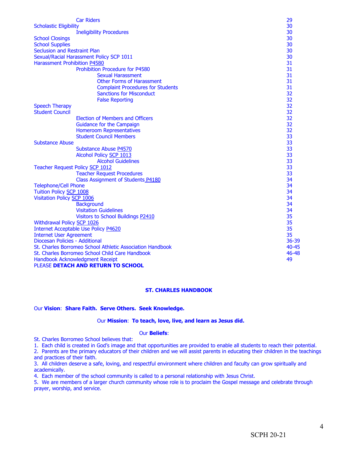| <b>Car Riders</b>                                                      | 29    |  |  |
|------------------------------------------------------------------------|-------|--|--|
| <b>Scholastic Eligibility</b>                                          | 30    |  |  |
| <b>Ineligibility Procedures</b>                                        | 30    |  |  |
| <b>School Closings</b>                                                 | 30    |  |  |
| <b>School Supplies</b>                                                 | 30    |  |  |
| <b>Seclusion and Restraint Plan</b>                                    | 30    |  |  |
| Sexual/Racial Harassment Policy SCP 1011                               | 30    |  |  |
| <b>Harassment Prohibition P4580</b>                                    | 31    |  |  |
| <b>Prohibition Procedure for P4580</b>                                 | 31    |  |  |
| <b>Sexual Harassment</b>                                               | 31    |  |  |
| <b>Other Forms of Harassment</b>                                       | 31    |  |  |
| <b>Complaint Procedures for Students</b>                               | 31    |  |  |
| <b>Sanctions for Misconduct</b>                                        | 32    |  |  |
| <b>False Reporting</b>                                                 | 32    |  |  |
| <b>Speech Therapy</b>                                                  | 32    |  |  |
| <b>Student Council</b>                                                 | 32    |  |  |
| <b>Election of Members and Officers</b>                                | 32    |  |  |
| <b>Guidance for the Campaign</b>                                       | 32    |  |  |
| <b>Homeroom Representatives</b>                                        | 32    |  |  |
| <b>Student Council Members</b>                                         | 33    |  |  |
| <b>Substance Abuse</b>                                                 | 33    |  |  |
| Substance Abuse P4570                                                  | 33    |  |  |
| <b>Alcohol Policy SCP 1013</b>                                         | 33    |  |  |
| <b>Alcohol Guidelines</b>                                              | 33    |  |  |
| Teacher Request Policy SCP 1012                                        | 33    |  |  |
| <b>Teacher Request Procedures</b>                                      | 33    |  |  |
| Class Assignment of Students P4180                                     | 34    |  |  |
| <b>Telephone/Cell Phone</b>                                            | 34    |  |  |
| Tuition Policy SCP 1008                                                | 34    |  |  |
| Visitation Policy SCP 1006                                             | 34    |  |  |
| <b>Background</b>                                                      | 34    |  |  |
| <b>Visitation Guidelines</b>                                           | 34    |  |  |
| Visitors to School Buildings P2410                                     | 35    |  |  |
| Withdrawal Policy SCP 1026                                             | 35    |  |  |
| Internet Acceptable Use Policy P4620                                   | 35    |  |  |
| <b>Internet User Agreement</b>                                         | 35    |  |  |
| Diocesan Policies - Additional                                         | 36-39 |  |  |
| St. Charles Borromeo School Athletic Association Handbook<br>$40 - 45$ |       |  |  |
| St. Charles Borromeo School Child Care Handbook<br>46-48               |       |  |  |
| Handbook Acknowledgment Receipt<br>49                                  |       |  |  |
| PLEASE DETACH AND RETURN TO SCHOOL                                     |       |  |  |

#### **ST. CHARLES HANDBOOK**

#### Our **Vision**: **Share Faith. Serve Others. Seek Knowledge.**

#### Our **Mission**: **To teach, love, live, and learn as Jesus did.**

#### Our **Beliefs**:

St. Charles Borromeo School believes that:

1. Each child is created in God's image and that opportunities are provided to enable all students to reach their potential.

2. Parents are the primary educators of their children and we will assist parents in educating their children in the teachings and practices of their faith.

3. All children deserve a safe, loving, and respectful environment where children and faculty can grow spiritually and academically.

4. Each member of the school community is called to a personal relationship with Jesus Christ.

5. We are members of a larger church community whose role is to proclaim the Gospel message and celebrate through prayer, worship, and service.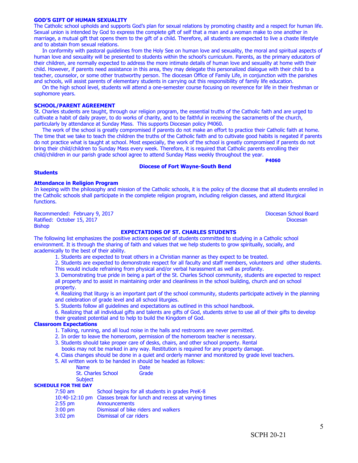## environment. It is through the sharing of faith and values that we help students to grow spiritually, socially, and academically to the best of their ability.

**EXPECTATIONS OF ST. CHARLES STUDENTS**

1. Students are expected to treat others in a Christian manner as they expect to be treated.

The following list emphasizes the positive actions expected of students committed to studying in a Catholic school

- 2. Students are expected to demonstrate respect for all faculty and staff members, volunteers and other students.
- This would include refraining from physical and/or verbal harassment as well as profanity.

3. Demonstrating true pride in being a part of the St. Charles School community, students are expected to respect all property and to assist in maintaining order and cleanliness in the school building, church and on school property.

4. Realizing that liturgy is an important part of the school community, students participate actively in the planning and celebration of grade level and all school liturgies.

- 5. Students follow all guidelines and expectations as outlined in this school handbook.
- 6. Realizing that all individual gifts and talents are gifts of God, students strive to use all of their gifts to develop
- their greatest potential and to help to build the Kingdom of God.

#### **Classroom Expectations**

- 1. Talking, running, and all loud noise in the halls and restrooms are never permitted.
- 2. In order to leave the homeroom, permission of the homeroom teacher is necessary.
- 3. Students should take proper care of desks, chairs, and other school property. Rental
- books may not be marked in any way. Restitution is required for any property damage.
- 4. Class changes should be done in a quiet and orderly manner and monitored by grade level teachers.
- 5. All written work to be handed in should be headed as follows:

| <b>Name</b>               | Date  |
|---------------------------|-------|
| <b>St. Charles School</b> | Grade |
| <b>Subject</b>            |       |

### **SCHEDULE FOR THE DAY**

| $7:50$ am | School begins for all students in grades PreK-8                    |
|-----------|--------------------------------------------------------------------|
|           | 10:40-12:10 pm Classes break for lunch and recess at varying times |
| $2:55$ pm | Announcements                                                      |
| $3:00$ pm | Dismissal of bike riders and walkers                               |
| $3:02$ pm | Dismissal of car riders                                            |

#### **Students**

functions.

Bishop

**Diocese of Fort Wayne-South Bend**

In keeping with the philosophy and mission of the Catholic schools, it is the policy of the diocese that all students enrolled in the Catholic schools shall participate in the complete religion program, including religion classes, and attend liturgical

human love and sexuality will be presented to students within the school's curriculum. Parents, as the primary educators of their children, are normally expected to address the more intimate details of human love and sexuality at home with their child. However, if parents need assistance in this area, they may delegate this personalized dialogue with their child to a teacher, counselor, or some other trustworthy person. The diocesan Office of Family Life, in conjunction with the parishes

In conformity with pastoral guidelines from the Holy See on human love and sexuality, the moral and spiritual aspects of

Sexual union is intended by God to express the complete gift of self that a man and a woman make to one another in marriage, a mutual gift that opens them to the gift of a child. Therefore, all students are expected to live a chaste lifestyle

and schools, will assist parents of elementary students in carrying out this responsibility of family life education. On the high school level, students will attend a one-semester course focusing on reverence for life in their freshman or

sophomore years.

## **SCHOOL/PARENT AGREEMENT**

**Attendance in Religion Program**

St. Charles students are taught, through our religion program, the essential truths of the Catholic faith and are urged to cultivate a habit of daily prayer, to do works of charity, and to be faithful in receiving the sacraments of the church, particularly by attendance at Sunday Mass. This supports Diocesan policy P4060.

 The work of the school is greatly compromised if parents do not make an effort to practice their Catholic faith at home. The time that we take to teach the children the truths of the Catholic faith and to cultivate good habits is negated if parents do not practice what is taught at school. Most especially, the work of the school is greatly compromised if parents do not bring their child/children to Sunday Mass every week. Therefore, it is required that Catholic parents enrolling their child/children in our parish grade school agree to attend Sunday Mass weekly throughout the year.

**P4060**

## Recommended: February 9, 2017 **Diocesan School Board** Board Ratified: October 15, 2017 **Diocesan**

#### **GOD'S GIFT OF HUMAN SEXUALITY** The Catholic school upholds and supports God's plan for sexual relations by promoting chastity and a respect for human life.

and to abstain from sexual relations.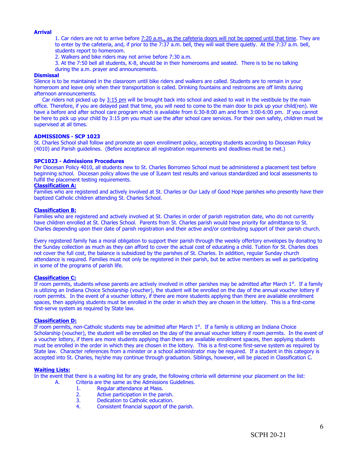#### **Arrival**

- 1. Car riders are not to arrive before 7:20 a.m., as the cafeteria doors will not be opened until that time. They are to enter by the cafeteria, and, if prior to the 7:37 a.m. bell, they will wait there quietly. At the 7:37 a.m. bell, students report to homeroom.
- 2. Walkers and bike riders may not arrive before 7:30 a.m.
- 3. At the 7:50 bell all students, K-8, should be in their homerooms and seated. There is to be no talking
- during the a.m. prayer and announcements.

#### **Dismissal**

Silence is to be maintained in the classroom until bike riders and walkers are called. Students are to remain in your homeroom and leave only when their transportation is called. Drinking fountains and restrooms are off limits during afternoon announcements.

Car riders not picked up by 3:15 pm will be brought back into school and asked to wait in the vestibule by the main office. Therefore, if you are delayed past that time, you will need to come to the main door to pick up your child(ren). We have a before and after school care program which is available from 6:30-8:00 am and from 3:00-6:00 pm. If you cannot be here to pick up your child by 3:15 pm you must use the after school care services. For their own safety, children must be supervised at all times.

#### **ADMISSIONS - SCP 1023**

St. Charles School shall follow and promote an open enrollment policy, accepting students according to Diocesan Policy (4010) and Parish guidelines. (Before acceptance all registration requirements and deadlines must be met.)

#### **SPC1023 - Admissions Procedures**

Per Diocesan Policy 4010, all students new to St. Charles Borromeo School must be administered a placement test before beginning school. Diocesan policy allows the use of ILearn test results and various standardized and local assessments to fulfill the placement testing requirements.

#### **Classification A:**

Families who are registered and actively involved at St. Charles or Our Lady of Good Hope parishes who presently have their baptized Catholic children attending St. Charles School.

#### **Classification B:**

Families who are registered and actively involved at St. Charles in order of parish registration date, who do not currently have children enrolled at St. Charles School. Parents from St. Charles parish would have priority for admittance to St. Charles depending upon their date of parish registration and their active and/or contributing support of their parish church.

Every registered family has a moral obligation to support their parish through the weekly offertory envelopes by donating to the Sunday collection as much as they can afford to cover the actual cost of educating a child. Tuition for St. Charles does not cover the full cost, the balance is subsidized by the parishes of St. Charles. In addition, regular Sunday church attendance is required. Families must not only be registered in their parish, but be active members as well as participating in some of the programs of parish life.

#### **Classification C:**

If room permits, students whose parents are actively involved in other parishes may be admitted after March  $1^{st}$ . If a family is utilizing an Indiana Choice Scholarship (voucher), the student will be enrolled on the day of the annual voucher lottery if room permits. In the event of a voucher lottery, if there are more students applying than there are available enrollment spaces, then applying students must be enrolled in the order in which they are chosen in the lottery. This is a first-come first-serve system as required by State law.

#### **Classification D:**

If room permits, non-Catholic students may be admitted after March  $1<sup>st</sup>$ . If a family is utilizing an Indiana Choice Scholarship (voucher), the student will be enrolled on the day of the annual voucher lottery if room permits. In the event of a voucher lottery, if there are more students applying than there are available enrollment spaces, then applying students must be enrolled in the order in which they are chosen in the lottery. This is a first-come first-serve system as required by State law. Character references from a minister or a school administrator may be required. If a student in this category is accepted into St. Charles, he/she may continue through graduation. Siblings, however, will be placed in Classification C.

#### **Waiting Lists:**

In the event that there is a waiting list for any grade, the following criteria will determine your placement on the list:

- A. Criteria are the same as the Admissions Guidelines.
	- 1. Regular attendance at Mass.<br>2. Active participation in the pa
	- 2. Active participation in the parish.<br>3. Dedication to Catholic education.
	- 3. Dedication to Catholic education.<br>4. Consistent financial support of the
	- Consistent financial support of the parish.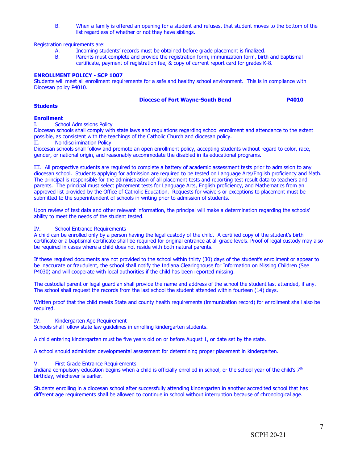B. When a family is offered an opening for a student and refuses, that student moves to the bottom of the list regardless of whether or not they have siblings.

Registration requirements are:

- A. Incoming students' records must be obtained before grade placement is finalized.<br>B. Parents must complete and provide the registration form, immunization form, birtl
- Parents must complete and provide the registration form, immunization form, birth and baptismal certificate, payment of registration fee, & copy of current report card for grades K-8.

#### **ENROLLMENT POLICY - SCP 1007**

Students will meet all enrollment requirements for a safe and healthy school environment. This is in compliance with Diocesan policy P4010.

#### **Diocese of Fort Wayne-South Bend P4010**

#### **Students**

#### **Enrollment**

I. School Admissions Policy

Diocesan schools shall comply with state laws and regulations regarding school enrollment and attendance to the extent possible, as consistent with the teachings of the Catholic Church and diocesan policy.

II. Nondiscrimination Policy

Diocesan schools shall follow and promote an open enrollment policy, accepting students without regard to color, race, gender, or national origin, and reasonably accommodate the disabled in its educational programs.

III. All prospective students are required to complete a battery of academic assessment tests prior to admission to any diocesan school. Students applying for admission are required to be tested on Language Arts/English proficiency and Math. The principal is responsible for the administration of all placement tests and reporting test result data to teachers and parents. The principal must select placement tests for Language Arts, English proficiency, and Mathematics from an approved list provided by the Office of Catholic Education. Requests for waivers or exceptions to placement must be submitted to the superintendent of schools in writing prior to admission of students.

Upon review of test data and other relevant information, the principal will make a determination regarding the schools' ability to meet the needs of the student tested.

#### IV. School Entrance Requirements

A child can be enrolled only by a person having the legal custody of the child. A certified copy of the student's birth certificate or a baptismal certificate shall be required for original entrance at all grade levels. Proof of legal custody may also be required in cases where a child does not reside with both natural parents.

If these required documents are not provided to the school within thirty (30) days of the student's enrollment or appear to be inaccurate or fraudulent, the school shall notify the Indiana Clearinghouse for Information on Missing Children (See P4030) and will cooperate with local authorities if the child has been reported missing.

The custodial parent or legal guardian shall provide the name and address of the school the student last attended, if any. The school shall request the records from the last school the student attended within fourteen (14) days.

Written proof that the child meets State and county health requirements (immunization record) for enrollment shall also be required.

#### IV. Kindergarten Age Requirement

Schools shall follow state law guidelines in enrolling kindergarten students.

A child entering kindergarten must be five years old on or before August 1, or date set by the state.

A school should administer developmental assessment for determining proper placement in kindergarten.

#### V. First Grade Entrance Requirements

Indiana compulsory education begins when a child is officially enrolled in school, or the school year of the child's  $7<sup>th</sup>$ birthday, whichever is earlier.

Students enrolling in a diocesan school after successfully attending kindergarten in another accredited school that has different age requirements shall be allowed to continue in school without interruption because of chronological age.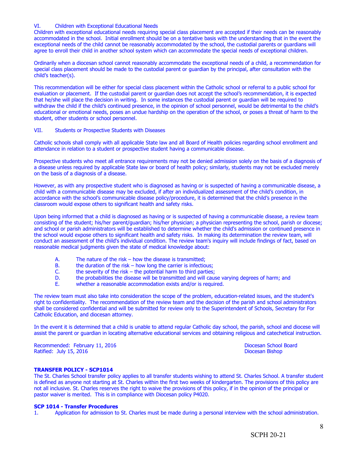#### VI. Children with Exceptional Educational Needs

Children with exceptional educational needs requiring special class placement are accepted if their needs can be reasonably accommodated in the school. Initial enrollment should be on a tentative basis with the understanding that in the event the exceptional needs of the child cannot be reasonably accommodated by the school, the custodial parents or guardians will agree to enroll their child in another school system which can accommodate the special needs of exceptional children.

Ordinarily when a diocesan school cannot reasonably accommodate the exceptional needs of a child, a recommendation for special class placement should be made to the custodial parent or guardian by the principal, after consultation with the child's teacher(s).

This recommendation will be either for special class placement within the Catholic school or referral to a public school for evaluation or placement. If the custodial parent or guardian does not accept the school's recommendation, it is expected that he/she will place the decision in writing. In some instances the custodial parent or guardian will be required to withdraw the child if the child's continued presence, in the opinion of school personnel, would be detrimental to the child's educational or emotional needs, poses an undue hardship on the operation of the school, or poses a threat of harm to the student, other students or school personnel.

#### VII. Students or Prospective Students with Diseases

Catholic schools shall comply with all applicable State law and all Board of Health policies regarding school enrollment and attendance in relation to a student or prospective student having a communicable disease.

Prospective students who meet all entrance requirements may not be denied admission solely on the basis of a diagnosis of a disease unless required by applicable State law or board of health policy; similarly, students may not be excluded merely on the basis of a diagnosis of a disease.

However, as with any prospective student who is diagnosed as having or is suspected of having a communicable disease, a child with a communicable disease may be excluded, if after an individualized assessment of the child's condition, in accordance with the school's communicable disease policy/procedure, it is determined that the child's presence in the classroom would expose others to significant health and safety risks.

Upon being informed that a child is diagnosed as having or is suspected of having a communicable disease, a review team consisting of the student; his/her parent/guardian; his/her physician; a physician representing the school, parish or diocese; and school or parish administrators will be established to determine whether the child's admission or continued presence in the school would expose others to significant health and safety risks. In making its determination the review team, will conduct an assessment of the child's individual condition. The review team's inquiry will include findings of fact, based on reasonable medical judgments given the state of medical knowledge about:

- A. The nature of the risk how the disease is transmitted;
- B. the duration of the risk how long the carrier is infectious;<br>C. the severity of the risk the potential harm to third parties
- the severity of the risk the potential harm to third parties;
- D. the probabilities the disease will be transmitted and will cause varying degrees of harm; and E. whether a reasonable accommodation exists and/or is required.
- whether a reasonable accommodation exists and/or is required.

The review team must also take into consideration the scope of the problem, education-related issues, and the student's right to confidentiality. The recommendation of the review team and the decision of the parish and school administrators shall be considered confidential and will be submitted for review only to the Superintendent of Schools, Secretary for For Catholic Education, and diocesan attorney.

In the event it is determined that a child is unable to attend regular Catholic day school, the parish, school and diocese will assist the parent or guardian in locating alternative educational services and obtaining religious and catechetical instruction.

Recommended: February 11, 2016 **Diocesan School Board** Diocesan School Board Ratified: July 15, 2016 **Diocesan Bishop Diocesan Bishop** 

#### **TRANSFER POLICY - SCP1014**

The St. Charles School transfer policy applies to all transfer students wishing to attend St. Charles School. A transfer student is defined as anyone not starting at St. Charles within the first two weeks of kindergarten. The provisions of this policy are not all inclusive. St. Charles reserves the right to waive the provisions of this policy, if in the opinion of the principal or pastor waiver is merited. This is in compliance with Diocesan policy P4020.

#### **SCP 1014 - Transfer Procedures**

1. Application for admission to St. Charles must be made during a personal interview with the school administration.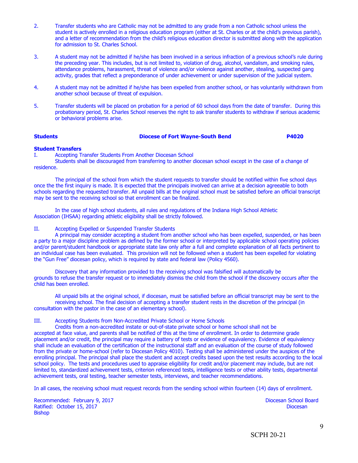- 2. Transfer students who are Catholic may not be admitted to any grade from a non Catholic school unless the student is actively enrolled in a religious education program (either at St. Charles or at the child's previous parish), and a letter of recommendation from the child's religious education director is submitted along with the application for admission to St. Charles School.
- 3. A student may not be admitted if he/she has been involved in a serious infraction of a previous school's rule during the preceding year. This includes, but is not limited to, violation of drug, alcohol, vandalism, and smoking rules, attendance problems, harassment, threat of violence and/or violence against another, stealing, suspected gang activity, grades that reflect a preponderance of under achievement or under supervision of the judicial system.
- 4. A student may not be admitted if he/she has been expelled from another school, or has voluntarily withdrawn from another school because of threat of expulsion.
- 5. Transfer students will be placed on probation for a period of 60 school days from the date of transfer. During this probationary period, St. Charles School reserves the right to ask transfer students to withdraw if serious academic or behavioral problems arise.

#### **Students Diocese of Fort Wayne-South Bend P4020**

#### **Student Transfers**

I. Accepting Transfer StudentsFrom Another Diocesan School

Students shall be discouraged from transferring to another diocesan school except in the case of a change of residence.

The principal of the school from which the student requests to transfer should be notified within five school days once the the first inquiry is made. It is expected that the principals involved can arrive at a decision agreeable to both schools regarding the requested transfer. All unpaid bills at the original school must be satisfied before an official transcript may be sent to the receiving school so that enrollment can be finalized.

In the case of high school students, all rules and regulations of the Indiana High School Athletic Association (IHSAA) regarding athletic eligibility shall be strictly followed.

#### II. Accepting Expelled or Suspended Transfer Students

A principal may consider accepting a student from another school who has been expelled, suspended, or has been a party to a major discipline problem as defined by the former school or interpreted by applicable school operating policies and/or parent/student handbook or appropriate state law only after a full and complete explanation of all facts pertinent to an individual case has been evaluated. This provision will not be followed when a student has been expelled for violating the "Gun Free" diocesan policy, which is required by state and federal law (Policy 4560).

Discovery that any information provided to the receiving school was falsified will automatically be grounds to refuse the transfer request or to immediately dismiss the child from the school if the discovery occurs after the child has been enrolled.

All unpaid bills at the original school, if diocesan, must be satisfied before an official transcript may be sent to the receiving school. The final decision of accepting a transfer student rests in the discretion of the principal (in consultation with the pastor in the case of an elementary school).

#### III. Accepting Students from Non-Accredited Private School or Home Schools

Credits from a non-accredited instate or out-of-state private school or home school shall not be accepted at face value, and parents shall be notified of this at the time of enrollment. In order to determine grade placement and/or credit, the principal may require a battery of tests or evidence of equivalency. Evidence of equivalency shall include an evaluation of the certification of the instructional staff and an evaluation of the course of study followed from the private or home-school (refer to Diocesan Policy 4010). Testing shall be administered under the auspices of the enrolling principal. The principal shall place the student and accept credits based upon the test results according to the local school policy. The tests and procedures used to appraise eligibility for credit and/or placement may include, but are not limited to, standardized achievement tests, criterion referenced tests, intelligence tests or other ability tests, departmental achievement tests, oral testing, teacher semester tests, interviews, and teacher recommendations.

In all cases, the receiving school must request records from the sending school within fourteen (14) days of enrollment.

Recommended: February 9, 2017 **Diocesan School Board** Board **Diocesan School Board** Ratified: October 15, 2017 **Diocesan Bishop**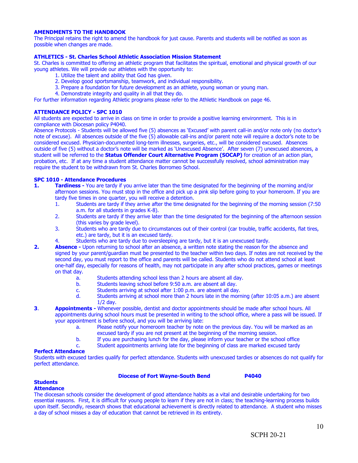#### **AMENDMENTS TO THE HANDBOOK**

The Principal retains the right to amend the handbook for just cause. Parents and students will be notified as soon as possible when changes are made.

#### **ATHLETICS - St. Charles School Athletic Association Mission Statement**

St. Charles is committed to offering an athletic program that facilitates the spiritual, emotional and physical growth of our young athletes. We will provide our athletes with the opportunity to:

- 1. Utilize the talent and ability that God has given.
- 2. Develop good sportsmanship, teamwork, and individual responsibility.
- 3. Prepare a foundation for future development as an athlete, young woman or young man.
- 4. Demonstrate integrity and quality in all that they do.

For further information regarding Athletic programs please refer to the Athletic Handbook on page 46.

#### **ATTENDANCE POLICY - SPC 1010**

All students are expected to arrive in class on time in order to provide a positive learning environment. This is in compliance with Diocesan policy P4040.

Absence Protocols - Students will be allowed five (5) absences as 'Excused' with parent call-in and/or note only (no doctor's note of excuse). All absences outside of the five (5) allowable call-ins and/or parent note will require a doctor's note to be considered excused. Physician-documented long-term illnesses, surgeries, etc., will be considered excused. Absences outside of five (5) without a doctor's note will be marked as 'Unexcused Absence'. After seven (7) unexcused absences, a student will be referred to the **Status Offender Court Alternative Program (SOCAP)** for creation of an action plan, probation, etc. If at any time a student attendance matter cannot be successfully resolved, school administration may require the student to be withdrawn from St. Charles Borromeo School.

#### **SPC 1010 - Attendance Procedures**

- **1. Tardiness -** You are tardy if you arrive later than the time designated for the beginning of the morning and/or afternoon sessions. You must stop in the office and pick up a pink slip before going to your homeroom. If you are tardy five times in one quarter, you will receive a detention.
	- 1. Students are tardy if they arrive after the time designated for the beginning of the morning session (7:50 a.m. for all students in grades K-8).
	- 2. Students are tardy if they arrive later than the time designated for the beginning of the afternoon session (this varies by grade level).
	- 3. Students who are tardy due to circumstances out of their control (car trouble, traffic accidents, flat tires, etc.) are tardy,but it is an excused tardy.
	- 4. Students who are tardy due to oversleeping are tardy,but it is an unexcused tardy.
- **2. Absence -** Upon returning to school after an absence, a written note stating the reason for the absence and signed by your parent/guardian must be presented to the teacher within two days. If notes are not received by the second day, you must report to the office and parents will be called. Students who do not attend school at least one-half day, especially for reasons of health, may not participate in any after school practices, games or meetings on that day.
	- a. Students attending school less than 2 hours are absent all day.
	- b. Students leaving schoolbefore 9:50 a.m. are absent all day.
	- c. Students arriving at school after 1:00 p.m. are absent all day.
	- d. Students arriving at school more than 2 hours late in the morning (after 10:05 a.m.) are absent 1/2 day.
- **3**. **Appointments** Whenever possible, dentist and doctor appointments should be made after school hours. All appointments during school hours must be presented in writing to the school office, where a pass will be issued. If your appointment is before school, and you will be arriving late:
	- a. Please notify your homeroom teacher by note on the previous day. You will be marked as an excused tardy if you are not present at the beginning of the morning session.
	- b. If you are purchasing lunch for the day, please inform your teacher or the school office
	- c. Student appointments arriving late for the beginning of class are marked excused tardy

#### **Perfect Attendance**

Students with excused tardies qualify for perfect attendance. Students with unexcused tardies or absences do not qualify for perfect attendance.

#### **Diocese of Fort Wayne-South Bend P4040**

**Students**

#### **Attendance**

The diocesan schools consider the development of good attendance habits as a vital and desirable undertaking for two essential reasons. First, it is difficult for young people to learn if they are not in class; the teaching-learning process builds upon itself. Secondly, research shows that educational achievement is directly related to attendance. A student who misses a day of school misses a day of education that cannot be retrieved in its entirety.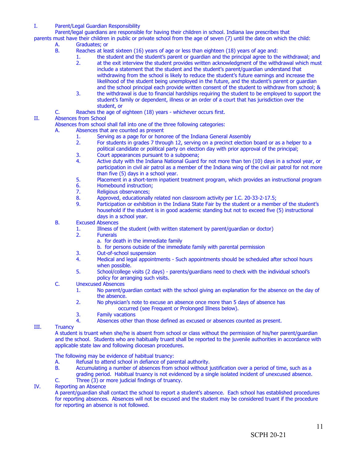I. Parent/Legal Guardian Responsibility

Parent/legal guardians are responsible for having their children in school. Indiana law prescribes that

- parents must have their children in public or private school from the age of seven (7) until the date on which the child:
	- A. Graduates; or
	- B. Reaches at least sixteen (16) years of age or less than eighteen (18) years of age and:
		- 1. the student and the student's parent or guardian and the principal agree to the withdrawal; and
		- 2. at the exit interview the student provides written acknowledgment of the withdrawal which must include a statement that the student and the student's parent/guardian understand that withdrawing from the school is likely to reduce the student's future earnings and increase the likelihood of the student being unemployed in the future, and the student's parent or guardian and the school principal each provide written consent of the student to withdraw from school; &
		- 3. the withdrawal is due to financial hardships requiring the student to be employed to support the student's family or dependent, illness or an order of a court that has jurisdiction over the student, or
	- C. Reaches the age of eighteen (18) years whichever occurs first.

#### II. Absences from School

- Absences from school shall fall into one of the three following categories:
- A. Absences that are counted as present
	- 1. Serving as a page for or honoree of the Indiana General Assembly<br>2. For students in grades 7 through 12, serving on a precinct election
	- 2. For students in grades 7 through 12, serving on a precinct election board or as a helper to a political candidate or political party on election day with prior approval of the principal;
	- 3. Court appearances pursuant to a subpoena;<br>4. Active duty with the Indiana National Guard
	- Active duty with the Indiana National Guard for not more than ten (10) days in a school year, or participation in civil air patrol as a member of the Indiana wing of the civil air patrol for not more than five (5) days in a school year.
	- 5. Placement in a short-term inpatient treatment program, which provides an instructional program
	- 6. Homebound instruction;
	- 7. Religious observances;
	- 8. Approved, educationally related non classroom activity per I.C. 20-33-2-17.5;
	- 9. Participation or exhibition in the Indiana State Fair by the student or a member of the student's household if the student is in good academic standing but not to exceed five (5) instructional days in a school year.
- B. Excused Absences
	- 1. Illness of the student (with written statement by parent/guardian or doctor)<br>2. Funerals
	- **Funerals** 
		- a. for death in the immediate family
			- b. for persons outside of the immediate family with parental permission
	- 3. Out-of-school suspension
	- 4. Medical and legal appointments Such appointments should be scheduled after school hours when possible.
	- 5. School/college visits (2 days) parents/guardians need to check with the individual school's policy for arranging such visits.
- C. Unexcused Absences
	- 1. No parent/guardian contact with the school giving an explanation for the absence on the day of the absence.
	- 2. No physician's note to excuse an absence once more than 5 days of absence has
		- occurred (see Frequent or Prolonged Illness below).
	- 3. Family vacations
	- 4. Absences other than those defined as excused or absences counted as present.

#### III. Truancy

A student is truant when she/he is absent from school or class without the permission of his/her parent/guardian and the school. Students who are habitually truant shall be reported to the juvenile authorities in accordance with applicable state law and following diocesan procedures.

The following may be evidence of habitual truancy:

- A. Refusal to attend school in defiance of parental authority.<br>B. Accumulating a number of absences from school without in
- Accumulating a number of absences from school without justification over a period of time, such as a grading period. Habitual truancy is not evidenced by a single isolated incident of unexcused absence.
- C. Three (3) or more judicial findings of truancy.

### IV. Reporting an Absence

A parent/guardian shall contact the school to report a student's absence. Each school has established procedures for reporting absences. Absences will not be excused and the student may be considered truant if the procedure for reporting an absence is not followed.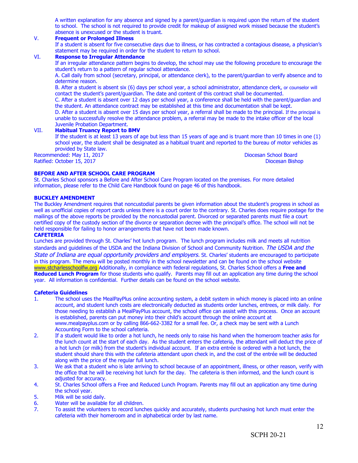A written explanation for any absence and signed by a parent/guardian is required upon the return of the student to school. The school is not required to provide credit for makeup of assigned work missed because the student's absence is unexcused or the student is truant.

#### V. **Frequent or Prolonged Illness**

If a student is absent for five consecutive days due to illness, or has contracted a contagious disease, a physician's statement may be required in order for the student to return to school.

#### VI. **Response to Irregular Attendance**

If an irregular attendance pattern begins to develop, the school may use the following procedure to encourage the student's return to a pattern of regular school attendance.

A. Call daily from school (secretary, principal, or attendance clerk), to the parent/guardian to verify absence and to determine reason.

B. After a student is absent six (6) days per school year, a school administrator, attendance clerk, or counselor will contact the student's parent/guardian. The date and content of this contract shall be documented.

C. After a student is absent over 12 days per school year, a conference shall be held with the parent/guardian and the student. An attendance contract may be established at this time and documentation shall be kept.

D. After a student is absent over 15 days per school year, a referral shall be made to the principal. If the principal is unable to successfully resolve the attendance problem, a referral may be made to the intake officer of the local Juvenile Probation Department.

#### VII. **Habitual Truancy Report to BMV**

If the student is at least 13 years of age but less than 15 years of age and is truant more than 10 times in one (1) school year, the student shall be designated as a habitual truant and reported to the bureau of motor vehicles as provided by State law.

Recommended: May 11, 2017 Diocesan School Board Ratified: October 15, 2017

#### **BEFORE AND AFTER SCHOOL CARE PROGRAM**

St. Charles School sponsors a Before and After School Care Program located on the premises. For more detailed information, please refer to the Child Care Handbook found on page 46 of this handbook.

#### **BUCKLEY AMENDMENT**

The Buckley Amendment requires that noncustodial parents be given information about the student's progress in school as well as unofficial copies of report cards unless there is a court order to the contrary. St. Charles does require postage for the mailings of the above reports be provided by the noncustodial parent. Divorced or separated parents must file a court certified copy of the custody section of the divorce or separation decree with the principal's office. The school will not be held responsible for failing to honor arrangements that have not been made known.

#### **CAFETERIA**

Lunches are provided through St. Charles' hot lunch program. The lunch program includes milk and meets all nutrition standards and guidelines of the USDA and the Indiana Division of School and Community Nutrition. The USDA and the State of Indiana are equal opportunity providers and employers. St. Charles' students are encouraged to participate in this program. The menu will be posted monthly in the school newsletter and can be found on the school website [www.stcharlesschoolfw.org](http://www.stcharlesschoolfw.org/) Additionally, in compliance with federal regulations, St. Charles School offers a **Free and Reduced Lunch Program** for those students who qualify. Parents may fill out an application any time during the school year. All information is confidential. Further details can be found on the school website.

#### **Cafeteria Guidelines**

- 1. The school uses the MealPayPlus online accounting system, a debit system in which money is placed into an online account, and student lunch costs are electronically deducted as students order lunches, entrees, or milk daily. For those needing to establish a MealPayPlus account, the school office can assist with this process. Once an account is established, parents can put money into their child's account through the online account at www.mealpayplus.com or by calling 866-662-3382 for a small fee. Or, a check may be sent with a Lunch Accounting Form to the school cafeteria.
- 2. If a student would like to order a hot lunch, he needs only to raise his hand when the homeroom teacher asks for the lunch count at the start of each day. As the student enters the cafeteria, the attendant will deduct the price of a hot lunch (or milk) from the student's individual account. If an extra entrée is ordered with a hot lunch, the student should share this with the cafeteria attendant upon check in, and the cost of the entrée will be deducted along with the price of the regular full lunch.
- 3. We ask that a student who is late arriving to school because of an appointment, illness, or other reason, verify with the office that he will be receiving hot lunch for the day. The cafeteria is then informed, and the lunch count is adjusted for accuracy.
- 4. St. Charles School offers a Free and Reduced Lunch Program. Parents may fill out an application any time during the school year.
- 5. Milk will be sold daily.
- 6. Water will be available for all children.<br>7. To assist the volunteers to record lunc
- To assist the volunteers to record lunches quickly and accurately, students purchasing hot lunch must enter the cafeteria with their homeroom and in alphabetical order by last name.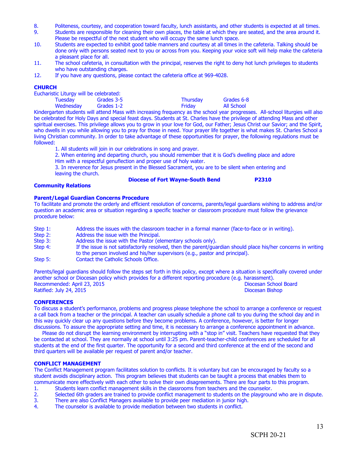- 8. Politeness, courtesy, and cooperation toward faculty, lunch assistants, and other students is expected at all times.<br>9. Students are responsible for cleaning their own places, the table at which they are seated, and the
- Students are responsible for cleaning their own places, the table at which they are seated, and the area around it. Please be respectful of the next student who will occupy the same lunch space.
- 10. Students are expected to exhibit good table manners and courtesy at all times in the cafeteria. Talking should be done only with persons seated next to you or across from you. Keeping your voice soft will help make the cafeteria a pleasant place for all.
- 11. The school cafeteria, in consultation with the principal, reserves the right to deny hot lunch privileges to students who have outstanding charges.
- 12. If you have any questions, please contact the cafeteria office at 969-4028.

#### **CHURCH**

Eucharistic Liturgy will be celebrated:

| .<br>Tuesday | .<br>Grades 3-5 | <b>Thursday</b> | Grades 6-8        |
|--------------|-----------------|-----------------|-------------------|
| Wednesday    | Grades 1-2      | Friday          | <b>All School</b> |

Kindergarten students will attend Mass with increasing frequency as the school year progresses. All-school liturgies will also be celebrated for Holy Days and special feast days. Students at St. Charles have the privilege of attending Mass and other spiritual exercises. This privilege allows you to grow in your love for God, our Father; Jesus Christ our Savior; and the Spirit, who dwells in you while allowing you to pray for those in need. Your prayer life together is what makes St. Charles School a living Christian community. In order to take advantage of these opportunities for prayer, the following regulations must be followed:

1. All students will join in our celebrations in song and prayer.

2. When entering and departing church, you should remember that it is God's dwelling place and adore Him with a respectful genuflection and proper use of holy water.

3. In reverence for Jesus present in the Blessed Sacrament, you are to be silent when entering and leaving the church.

## **Diocese of Fort Wayne-South Bend P2310**

#### **Community Relations**

#### **Parent/Legal Guardian Concerns Procedure**

To facilitate and promote the orderly and efficient resolution of concerns, parents/legal guardians wishing to address and/or question an academic area or situation regarding a specific teacher or classroom procedure must follow the grievance procedure below:

Step 1: Address the issues with the classroom teacher in a formal manner (face-to-face or in writing).<br>Step 2: Address the issue with the Principal. Step 2: Address the issue with the Principal.<br>Step 3: Address the issue with the Pastor (e) Step 3: Address the issue with the Pastor (elementary schools only).<br>Step 4: If the issue is not satisfactorily resolved, then the parent/qua If the issue is not satisfactorily resolved, then the parent/guardian should place his/her concerns in writing to the person involved and his/her supervisors (e.g., pastor and principal). Step 5: Contact the Catholic Schools Office.

Parents/legal guardians should follow the steps set forth in this policy, except where a situation is specifically covered under another school or Diocesan policy which provides for a different reporting procedure (e.g. harassment). Recommended: April 23, 2015 **Diocesan School Board** Diocesan School Board Ratified: July 24, 2015 Diocesan Bishop

#### **CONFERENCES**

To discuss a student's performance, problems and progress please telephone the school to arrange a conference or request a call back from a teacher or the principal. A teacher can usually schedule a phone call to you during the school day and in this way quickly clear up any questions before they become problems. A conference, however, is better for longer discussions. To assure the appropriate setting and time, it is necessary to arrange a conference appointment in advance.

Please do not disrupt the learning environment by interrupting with a "stop in" visit. Teachers have requested that they be contacted at school. They are normally at school until 3:25 pm. Parent-teacher-child conferences are scheduled for all students at the end of the first quarter. The opportunity for a second and third conference at the end of the second and third quarters will be available per request of parent and/or teacher.

#### **CONFLICT MANAGEMENT**

The Conflict Management program facilitates solution to conflicts. It is voluntary but can be encouraged by faculty so a student avoids disciplinary action.This program believes that students can be taught a process that enables them to communicate more effectively with each other to solve their own disagreements. There are four parts to this program.

- 1. Students learn conflict management skills in the classrooms from teachers and the counselor.
- 2. Selected 6th graders are trained to provide conflict management to students on the playground who are in dispute.<br>3. There are also Conflict Managers available to provide peer mediation in junior high.
- 3. There are also Conflict Managers available to provide peer mediation in junior high.<br>4. The counselor is available to provide mediation between two students in conflict.
- The counselor is available to provide mediation between two students in conflict.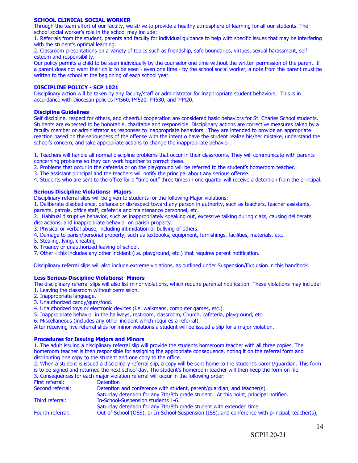#### **SCHOOL CLINICAL SOCIAL WORKER**

Through the team effort of our faculty, we strive to provide a healthy atmosphere of learning for all our students. The school social worker's role in the school may include:

1. Referrals from the student, parents and faculty for individual guidance to help with specific issues that may be interfering with the student's optimal learning.

2. Classroom presentations on a variety of topics such as friendship, safe boundaries, virtues, sexual harassment, self esteem and responsibility.

Our policy permits a child to be seen individually by the counselor one time without the written permission of the parent. If a parent does not want their child to be seen - even one time - by the school social worker, a note from the parent must be written to the school at the beginning of each school year.

#### **DISCIPLINE POLICY - SCP 1021**

Disciplinary action will be taken by any faculty/staff or administrator for inappropriate student behaviors. This is in accordance with Diocesan policies P4560, P4520, P4530, and P4420.

#### **Discipline Guidelines**

Self discipline, respect for others, and cheerful cooperation are considered basic behaviors for St. Charles School students. Students are expected to be honorable, charitable and responsible. Disciplinary actions are corrective measures taken by a faculty member or administrator as responses to inappropriate behaviors. They are intended to provide an appropriate reaction based on the seriousness of the offense with the intent o have the student realize his/her mistake, understand the school's concern, and take appropriate actions to change the inappropriate behavior.

1. Teachers will handle all normal discipline problems that occur in their classrooms. They will communicate with parents concerning problems so they can work together to correct these.

2. Problems that occur in the cafeteria or on the playground will be referred to the student's homeroom teacher.

3. The assistant principal and the teachers will notify the principal about any serious offense.

4. Students who are sent to the office for a "time out" three times in one quarter will receive a detention from the principal.

#### **Serious Discipline Violations: Majors**

Disciplinary referral slips will be given to students for the following Major violations:

1. Deliberate disobedience, defiance or disrespect toward any person in authority, such as teachers, teacher assistants, parents, patrols, office staff, cafeteria and maintenance personnel, etc.

2. Habitual disruptive behavior, such as inappropriately speaking out, excessive talking during class, causing deliberate distractions, and inappropriate behavior on parish property.

3. Physical or verbal abuse, including intimidation or bullying of others.

- 4. Damage to parish/personal property, such as textbooks, equipment, furnishings, facilities, materials, etc.
- 5. Stealing, lying, cheating
- 6. Truancy or unauthorized leaving of school.
- 7. Other this includes any other incident (i.e. playground, etc.) that requires parent notification.

Disciplinary referral slips will also include extreme violations, as outlined under Suspension/Expulsion in this handbook.

#### **Less Serious Discipline Violations: Minors**

The disciplinary referral slips will also list minor violations, which require parental notification. These violations may include: 1. Leaving the classroom without permission.

- 2. Inappropriate language.
- 3. Unauthorized candy/gum/food.
- 4. Unauthorized toys or electronic devices (i.e. walkmans, computer games, etc.).
- 5. Inappropriate behavior in the hallways, restroom, classroom, Church, cafeteria, playground, etc.

6. Miscellaneous (includes any other incident which requires a referral).

After receiving five referral slips for minor violations a student will be issued a slip for a major violation.

#### **Procedures for Issuing Majors and Minors**

1. The adult issuing a disciplinary referral slip will provide the students homeroom teacher with all three copies. The homeroom teacher is then responsible for assigning the appropriate consequence, noting it on the referral form and distributing one copy to the student and one copy to the office.

2. When a student is issued a disciplinary referral slip, a copy will be sent home to the student's parent/guardian. This form is to be signed and returned the next school day. The student's homeroom teacher will then keep the form on file.<br>3. Consequences for each major violation referral will occur in the following order:  $\frac{1}{2}$  will occur in the following order:

|                  | 3. Consequences for each major violation referral will occur in the rollowing order.           |
|------------------|------------------------------------------------------------------------------------------------|
| First referral:  | <b>Detention</b>                                                                               |
| Second referral: | Detention and conference with student, parent/guardian, and teacher(s).                        |
|                  | Saturday detention for any 7th/8th grade student. At this point, principal notified.           |
| Third referral:  | In-School-Suspension students 1-6.                                                             |
|                  | Saturday detention for any 7th/8th grade student with extended time.                           |
| Fourth referral: | Out-of-School (OSS), or In-School-Suspension (ISS), and conference with principal, teacher(s), |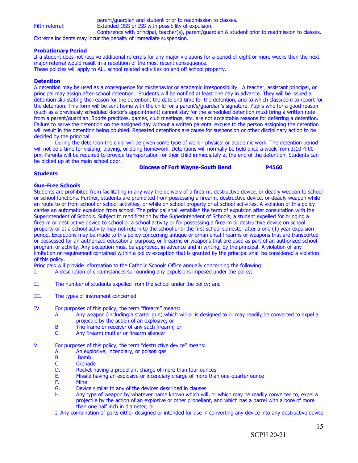parent/guardian and student prior to readmission to classes. Fifth referral: Extended OSS or ISS with possibility of expulsion. Conference with principal, teacher(s), parent/guardian & student prior to readmission to classes.

Extreme incidents may incur the penalty of immediate suspension.

#### **Probationary Period**

If a student does not receive additional referrals for any major violations for a period of eight or more weeks then the next major referral would result in a repetition of the most recent consequence.

These policies will apply to ALL school related activities on and off school property.

#### **Detention**

A detention may be used as a consequence for misbehavior or academic irresponsibility. A teacher, assistant principal, or principal may assign after-school detention. Students will be notified at least one day in advance. They will be issued a detention slip stating the reason for the detention, the date and time for the detention, and to which classroom to report for the detention. This form will be sent home with the child for a parent's/guardian's signature. Pupils who for a good reason (such as a previously scheduled doctor's appointment) cannot stay for the scheduled detention must bring a written note from a parent/guardian. Sports practices, games, club meetings, etc. are not acceptable reasons for deferring a detention. Failure to serve the detention on the assigned day without a written parental excuse to the person assigning the detention will result in the detention being doubled. Repeated detentions are cause for suspension or other disciplinary action to be decided by the principal.

During the detention the child will be given some type of work - physical or academic work. The detention period will not be a time for visiting, playing, or doing homework. Detentions will normally be held once a week from 3:10-4:00 pm. Parents will be required to provide transportation for their child immediately at the end of the detention. Students can be picked up at the main school door.

#### **Diocese of Fort Wayne-South Bend P4560**

#### **Students**

#### **Gun-Free Schools**

Students are prohibited from facilitating in any way the delivery of a firearm, destructive device, or deadly weapon to school or school functions. Further, students are prohibited from possessing a firearm, destructive device, or deadly weapon while en route to or from school or school activities, or while on school property or at school activities. A violation of this policy carries an automatic expulsion from school. The principal shall establish the term of expulsion after consultation with the Superintendent of Schools. Subject to modification by the Superintendent of Schools, a student expelled for bringing a firearm or destructive device to school or a school activity or for possessing a firearm or destructive device on school property or at a school activity may not return to the school until the first school semester after a one (1) year expulsion period. Exceptions may be made to this policy concerning antique or ornamental firearms or weapons that are transported or possessed for an authorized educational purpose, or firearms or weapons that are used as part of an authorized school program or activity. Any exception must be approved, in advance and in writing, by the principal. A violation of any limitation or requirement contained within a policy exception that is granted by the principal shall be considered a violation of this policy.

Principals will provide information to the Catholic Schools Office annually concerning the following:

- I. A description of circumstances surrounding any expulsions imposed under the policy;
- II. The number of students expelled from the school under the policy; and
- III. The types of instrument concerned
- IV. For purposes of this policy, the term "firearm" means:
	- A. Any weapon (including a starter gun) which will or is designed to or may readily be converted to expel a projectile by the action of an explosive; or
	- B. The frame or receiver of any such firearm; or C. Any firearm muffler or firearm silencer.
	- Any firearm muffler or firearm silencer.
- V. For purposes of this policy, the term "destructive device" means:
	- A. An explosive, incendiary, or poison gas<br>B. Bomb
	- B. Bomb<br>C. Grenad
	- C. Grenade<br>D. Rocket h
	- D. Rocket having a propellant charge of more than four ounces<br>E. Missile having an explosive or incendiary charge of more than
	- E. Missile having an explosive or incendiary charge of more than one-quarter ounce
	- **Mine**
	- G. Device similar to any of the devices described in clauses
	- H. Any type of weapon by whatever name known which will, or which may be readily converted to, expel a projectile by the action of an explosive or other propellant, and which has a barrel with a bore of more than one half inch in diameter; or
	- I. Any combination of parts either designed or intended for use in converting any device into any destructive device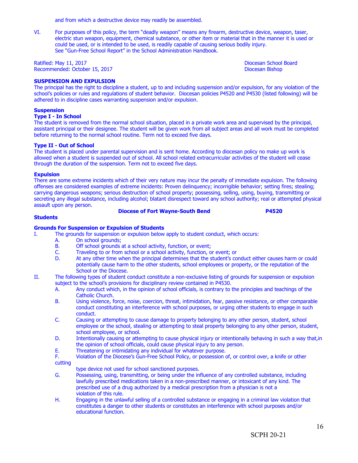and from which a destructive device may readily be assembled.

VI. For purposes of this policy, the term "deadly weapon" means any firearm, destructive device, weapon, taser, electric stun weapon, equipment, chemical substance, or other item or material that in the manner it is used or could be used, or is intended to be used, is readily capable of causing serious bodily injury. See "Gun-Free School Report" in the School Administration Handbook.

Ratified: May 11, 2017 **Diocesan School Board** Recommended: October 15, 2017 **Diocesan Bishop Diocesan Bishop** 

#### **SUSPENSION AND EXPULSION**

The principal has the right to discipline a student, up to and including suspension and/or expulsion, for any violation of the school's policies or rules and regulations of student behavior. Diocesan policies P4520 and P4530 (listed following) will be adhered to in discipline cases warranting suspension and/or expulsion.

#### **Suspension**

#### **Type I - In School**

The student is removed from the normal school situation, placed in a private work area and supervised by the principal, assistant principal or their designee. The student will be given work from all subject areas and all work must be completed before returning to the normal school routine. Term not to exceed five days.

#### **Type II - Out of School**

The student is placed under parental supervision and is sent home. According to diocesan policy no make up work is allowed when a student is suspended out of school. All school related extracurricular activities of the student will cease through the duration of the suspension. Term not to exceed five days.

#### **Expulsion**

There are some extreme incidents which of their very nature may incur the penalty of immediate expulsion. The following offenses are considered examples of extreme incidents: Proven delinquency; incorrigible behavior; setting fires; stealing; carrying dangerous weapons; serious destruction of school property; possessing, selling, using, buying, transmitting or secreting any illegal substance, including alcohol; blatant disrespect toward any school authority; real or attempted physical assault upon any person.

#### **Diocese of Fort Wayne-South Bend P4520**

#### **Students**

#### **Grounds For Suspension or Expulsion of Students**

- I. The grounds for suspension or expulsion below apply to student conduct, which occurs:
	- A. On school grounds;<br>B. Off school grounds
	- B. Off school grounds at a school activity, function, or event;<br>C. Traveling to or from school or a school activity, function, o
	- C. Traveling to or from school or a school activity, function, or event; or D. At any other time when the principal determines that the student's co
	- At any other time when the principal determines that the student's conduct either causes harm or could potentially cause harm to the other students, school employees or property, or the reputation of the School or the Diocese.
- II. The following types of student conduct constitute a non-exclusive listing of grounds for suspension or expulsion subject to the school's provisions for disciplinary review contained in P4530.
	- A. Any conduct which, in the opinion of school officials, is contrary to the principles and teachings of the Catholic Church.
	- B. Using violence, force, noise, coercion, threat, intimidation, fear, passive resistance, or other comparable conduct constituting an interference with school purposes, or urging other students to engage in such conduct.
	- C. Causing or attempting to cause damage to property belonging to any other person, student, school employee or the school, stealing or attempting to steal property belonging to any other person, student, school employee, or school.
	- D. Intentionally causing or attempting to cause physical injury or intentionally behaving in such a way that, in the opinion of school officials, could cause physical injury to any person.
	- E. Threatening or intimidating any individual for whatever purpose.<br>F. Violation of the Diocese's Gun-Free School Policy, or possession of
	- Violation of the Diocese's Gun-Free School Policy, or possession of, or control over, a knife or other cutting
		- type device not used for school sanctioned purposes.
	- G. Possessing, using, transmitting, or being under the influence of any controlled substance, including lawfully prescribed medications taken in a non-prescribed manner, or intoxicant of any kind. The prescribed use of a drug authorized by a medical prescription from a physician is not a violation of this rule.
	- H. Engaging in the unlawful selling of a controlled substance or engaging in a criminal law violation that constitutes a danger to other students or constitutes an interference with school purposes and/or educational function.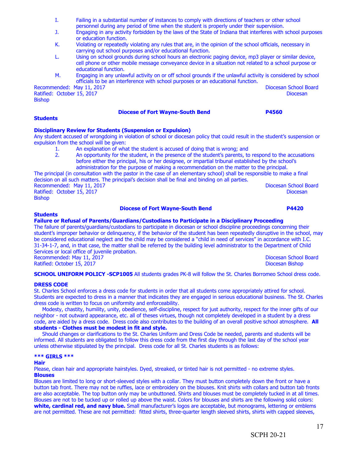- I. Failing in a substantial number of instances to comply with directions of teachers or other school personnel during any period of time when the student is properly under their supervision.
- J. Engaging in any activity forbidden by the laws of the State of Indiana that interferes with school purposes or education function.
- K. Violating or repeatedly violating any rules that are, in the opinion of the school officials, necessary in carrying out school purposes and/or educational function.
- L. Using on school grounds during school hours an electronic paging device, mp3 player or similar device, cell phone or other mobile message conveyance device in a situation not related to a school purpose or educational function.
- M. Engaging in any unlawful activity on or off school grounds if the unlawful activity is considered by school officials to be an interference with school purposes or an educational function.

Recommended: May 11, 2017 **Diocesan School Board** Ratified: October 15, 2017 **Diocesan** Bishop

#### **Diocese of Fort Wayne-South Bend P4560**

#### **Students**

#### **Disciplinary Review for Students (Suspension or Expulsion)**

Any student accused of wrongdoing in violation of school or diocesan policy that could result in the student's suspension or expulsion from the school will be given:

- 1. An explanation of what the student is accused of doing that is wrong; and 2. An opportunity for the student, in the presence of the student's parents, to
- 2. An opportunity for the student, in the presence of the student's parents, to respond to the accusations before either the principal, his or her designee, or impartial tribunal established by the school's administration for the purpose of making a recommendation on the matter to the principal.

The principal (in consultation with the pastor in the case of an elementary school) shall be responsible to make a final decision on all such matters. The principal's decision shall be final and binding on all parties. Recommended: May 11, 2017 **Diocesan School Board** Ratified: October 15, 2017 **Diocesan** 

Bishop

#### **Diocese of Fort Wayne-South Bend P4420**

#### **Students**

#### **Failure or Refusal of Parents/Guardians/Custodians to Participate in a Disciplinary Proceeding**

The failure of parents/guardians/custodians to participate in diocesan or school discipline proceedings concerning their student's improper behavior or delinquency, if the behavior of the student has been repeatedly disruptive in the school, may be considered educational neglect and the child may be considered a "child in need of services" in accordance with I.C. 31-34-1-7, and, in that case, the matter shall be referred by the building level administrator to the Department of Child Services or local office of juvenile probation. Recommended: May 11, 2017 **Diocesan School Board** Ratified: October 15, 2017 Diocesan Bishop

**SCHOOL UNIFORM POLICY -SCP1005** All students grades PK-8 will follow the St. Charles Borromeo School dress code.

#### **DRESS CODE**

St. Charles School enforces a dress code for students in order that all students come appropriately attired for school. Students are expected to dress in a manner that indicates they are engaged in serious educational business. The St. Charles dress code is written to focus on uniformity and enforceability.

 Modesty, chastity, humility, unity, obedience, self-discipline, respect for just authority, respect for the inner gifts of our neighbor - not outward appearance, etc. all of theses virtues, though not completely developed in a student by a dress code, are aided by a dress code. Dress code also contributes to the building of an overall positive school atmosphere. **All students - Clothes must be modest in fit and style.**

 Should changes or clarifications to the St. Charles Uniform and Dress Code be needed, parents and students will be informed. All students are obligated to follow this dress code from the first day through the last day of the school year unless otherwise stipulated by the principal. Dress code for all St. Charles students is as follows:

#### **\*\*\* GIRLS \*\*\***

#### **Hair**

Please, clean hair and appropriate hairstyles. Dyed, streaked, or tinted hair is not permitted - no extreme styles. **Blouses**

Blouses are limited to long or short-sleeved styles with a collar. They must button completely down the front or have a button tab front. There may not be ruffles, lace or embroidery on the blouses. Knit shirts with collars and button tab fronts are also acceptable. The top button only may be unbuttoned. Shirts and blouses must be completely tucked in at all times. Blouses are not to be tucked up or rolled up above the waist. Colors for blouses and shirts are the following solid colors: **white, cardinal red, and navy blue.** Small manufacturer's logos are acceptable, but monograms, lettering or emblems are not permitted. These are not permitted: fitted shirts, three-quarter length sleeved shirts, shirts with capped sleeves,

17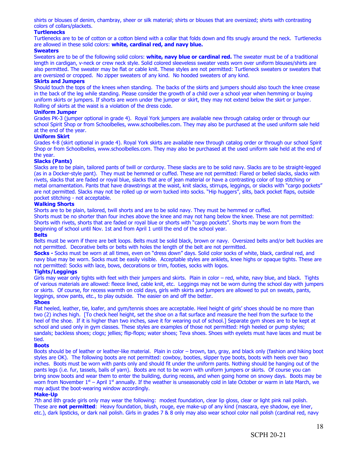shirts or blouses of denim, chambray, sheer or silk material; shirts or blouses that are oversized; shirts with contrasting colors of collars/plackets.

#### **Turtlenecks**

Turtlenecks are to be of cotton or a cotton blend with a collar that folds down and fits snugly around the neck. Turtlenecks are allowed in these solid colors: **white, cardinal red, and navy blue.**

#### **Sweaters**

Sweaters are to be of the following solid colors: **white, navy blue or cardinal red.** The sweater must be of a traditional length in cardigan, v-neck or crew neck style. Solid colored sleeveless sweater vests worn over uniform blouses/shirts are also permitted. The sweater may be flat or cable knit. These styles are not permitted: Turtleneck sweaters or sweaters that are oversized or cropped. No zipper sweaters of any kind. No hooded sweaters of any kind.

#### **Skirts and Jumpers**

Should touch the tops of the knees when standing. The backs of the skirts and jumpers should also touch the knee crease in the back of the leg while standing. Please consider the growth of a child over a school year when hemming or buying uniform skirts or jumpers. If shorts are worn under the jumper or skirt, they may not extend below the skirt or jumper. Rolling of skirts at the waist is a violation of the dress code.

#### **Uniform Jumper**

Grades PK-3 (jumper optional in grade 4). Royal York jumpers are available new through catalog order or through our school Spirit Shop or from Schoolbelles, www.schoolbelles.com. They may also be purchased at the used uniform sale held at the end of the year.

#### **Uniform Skirt**

Grades 4-8 (skirt optional in grade 4). Royal York skirts are available new through catalog order or through our school Spirit Shop or from Schoolbelles, www.schoolbelles.com. They may also be purchased at the used uniform sale held at the end of the year.

#### **Slacks (Pants)**

Slacks are to be plain, tailored pants of twill or corduroy. These slacks are to be solid navy. Slacks are to be straight-legged (as in a Docker-style pant). They must be hemmed or cuffed. These are not permitted: Flared or belled slacks, slacks with rivets, slacks that are faded or royal blue, slacks that are of jean material or have a contrasting color of top stitching or metal ornamentation. Pants that have drawstrings at the waist, knit slacks, stirrups, leggings, or slacks with "cargo pockets" are not permitted. Slacks may not be rolled up or worn tucked into socks. "Hip huggers", slits, back pocket flaps, outside pocket stitching - not acceptable.

#### **Walking Shorts**

Shorts are to be plain, tailored, twill shorts and are to be solid navy. They must be hemmed or cuffed.

Shorts must be no shorter than four inches above the knee and may not hang below the knee. These are not permitted: Shorts with rivets, shorts that are faded or royal blue or shorts with "cargo pockets". Shorts may be worn from the beginning of school until Nov. 1st and from April 1 until the end of the school year.

#### **Belts**

Belts must be worn if there are belt loops. Belts must be solid black, brown or navy. Oversized belts and/or belt buckles are not permitted. Decorative belts or belts with holes the length of the belt are not permitted.

**Socks -** Socks must be worn at all times, even on "dress down" days. Solid color socks of white, black, cardinal red, and navy bluemay be worn. Socks must be easily visible. Acceptable styles are anklets, knee highs or opaque tights. These are not permitted: Socks with lace, bows, decorations or trim, footies, socks with logos.

#### **Tights/Leggings**

Girls may wear only tights with feet with their jumpers and skirts. Plain in color – red, white, navy blue, and black. Tights of various materials are allowed: fleece lined, cable knit, etc. Leggings may not be worn during the school day with jumpers or skirts. Of course, for recess warmth on cold days, girls with skirts and jumpers are allowed to put on sweats, pants, leggings, snow pants, etc., to play outside. The easier on and off the better.

#### **Shoes**

Flat heeled, leather, tie, loafer, and gym/tennis shoes are acceptable. Heel height of girls' shoes should be no more than two (2) inches high. [To check heel height, set the shoe on a flat surface and measure the heel from the surface to the heel of the shoe. If it is higher than two inches, save it for wearing out of school.] Separate gym shoes are to be kept at school and used only in gym classes. These styles are examples of those not permitted: High heeled or pump styles; sandals; backless shoes; clogs; jellies; flip-flops; water shoes; Teva shoes. Shoes with eyelets must have laces and must be tied.

#### **Boots**

Boots should be of leather or leather-like material. Plain in color – brown, tan, gray, and black only (fashion and hiking boot styles are OK). The following boots are not permitted: cowboy, booties, slipper type boots, boots with heels over two inches. Boots must be worn with pants only and should fit under the uniform pants. Nothing should be hanging out of the pants legs (i.e. fur, tassels, balls of yarn). Boots are not to be worn with uniform jumpers or skirts. Of course you can bring snow boots and wear them to enter the building, during recess, and when going home on snowy days. Boots may be worn from November  $1<sup>st</sup>$  – April  $1<sup>st</sup>$  annually. If the weather is unseasonably cold in late October or warm in late March, we may adjust the boot-wearing window accordingly.

#### **Make-Up**

7th and 8th grade girls only may wear the following: modest foundation, clear lip gloss, clear or light pink nail polish. These are **not permitted**: Heavy foundation, blush, rouge, eye make-up of any kind (mascara, eye shadow, eye liner, etc.), dark lipsticks, or dark nail polish. Girls in grades 7 & 8 only may also wear school color nail polish (cardinal red, navy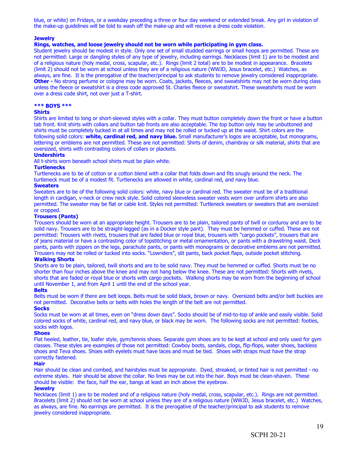blue, or white) on Fridays, or a weekday preceding a three or four day weekend or extended break. Any girl in violation of the make-up guidelines will be told to wash off the make-up and will receive a dress code violation.

#### **Jewelry**

#### **Rings, watches, and loose jewelry should not be worn while participating in gym class.**

Student jewelry should be modest in style. Only one set of small studded earrings or small hoops are permitted. These are not permitted: Large or dangling styles of any type of jewelry, including earrings. Necklaces (limit 1) are to be modest and of a religious nature (holy medal, cross, scapular, etc.). Rings (limit 2 total) are to be modest in appearance. Bracelets (limit 2) should not be worn at school unless they are of a religious nature (WWJD, Jesus bracelet, etc.) Watches, as always, are fine. It is the prerogative of the teacher/principal to ask students to remove jewelry considered inappropriate. **Other -** No strong perfume or cologne may be worn. Coats, jackets, fleeces, and sweatshirts may not be worn during class unless the fleece or sweatshirt is a dress code approved St. Charles fleece or sweatshirt. These sweatshirts must be worn over a dress code shirt, not over just a T-shirt.

#### **\*\*\* BOYS \*\*\***

#### **Shirts**

Shirts are limited to long or short-sleeved styles with a collar. They must button completely down the front or have a button tab front. Knit shirts with collars and button tab fronts are also acceptable. The top button only may be unbuttoned and shirts must be completely tucked in at all times and may not be rolled or tucked up at the waist. Shirt colors are the following solid colors: **white, cardinal red, and navy blue.** Small manufacturer's logos are acceptable, but monograms, lettering or emblems are not permitted. These are not permitted: Shirts of denim, chambray or silk material, shirts that are oversized, shirts with contrasting colors of collars or plackets.

#### **Undershirts**

All t-shirts worn beneath school shirts must be plain white.

#### **Turtlenecks**

Turtlenecks are to be of cotton or a cotton blend with a collar that folds down and fits snugly around the neck. The turtleneck must be of a modest fit. Turtlenecks are allowed in white, cardinal red, and navy blue.

#### **Sweaters**

Sweaters are to be of the following solid colors: white, navy blue or cardinal red. The sweater must be of a traditional length in cardigan, v-neck or crew neck style. Solid colored sleeveless sweater vests worn over uniform shirts are also permitted. The sweater may be flat or cable knit. Styles not permitted: Turtleneck sweaters or sweaters that are oversized or cropped.

#### **Trousers (Pants)**

Trousers should be worn at an appropriate height. Trousers are to be plain, tailored pants of twill or corduroy and are to be solid navy. Trousers are to be straight-legged (as in a Docker style pant). They must be hemmed or cuffed. These are not permitted: Trousers with rivets, trousers that are faded blue or royal blue, trousers with "cargo pockets", trousers that are of jeans material or have a contrasting color of topstitching or metal ornamentation, or pants with a drawstring waist. Deck pants, pants with zippers on the legs, parachute pants, or pants with monograms or decorative emblems are not permitted. Trousers may not be rolled or tucked into socks. "Lowriders", slit pants, back pocket flaps, outside pocket stitching.

#### **Walking Shorts**

Shorts are to be plain, tailored, twill shorts and are to be solid navy. They must be hemmed or cuffed. Shorts must be no shorter than four inches above the knee and may not hang below the knee. These are not permitted: Shorts with rivets, shorts that are faded or royal blue or shorts with cargo pockets. Walking shorts may be worn from the beginning of school until November 1, and from April 1 until the end of the school year.

#### **Belts**

Belts must be worn if there are belt loops. Belts must be solid black, brown or navy. Oversized belts and/or belt buckles are not permitted. Decorative belts or belts with holes the length of the belt are not permitted.

### **Socks**

Socks must be worn at all times, even on "dress down days". Socks should be of mid-to-top of ankle and easily visible. Solid colored socks of white, cardinal red, and navy blue, or black may be worn. The following socks are not permitted: footies, socks with logos.

#### **Shoes**

Flat heeled, leather, tie, loafer style, gym/tennis shoes. Separate gym shoes are to be kept at school and only used for gym classes. These styles are examples of those not permitted: Cowboy boots, sandals, clogs, flip-flops, water shoes, backless shoes and Teva shoes. Shoes with eyelets must have laces and must be tied. Shoes with straps must have the strap correctly fastened.

#### **Hair**

Hair should be clean and combed, and hairstyles must be appropriate. Dyed, streaked, or tinted hair is not permitted - no extreme styles. Hair should be above the collar. No lines may be cut into the hair. Boys must be clean-shaven. These should be visible: the face, half the ear, bangs at least an inch above the eyebrow.

#### **Jewelry**

Necklaces (limit 1) are to be modest and of a religious nature (holy medal, cross, scapular, etc.). Rings are not permitted. Bracelets (limit 2) should not be worn at school unless they are of a religious nature (WWJD, Jesus bracelet, etc.) Watches, as always, are fine. No earrings are permitted. It is the prerogative of the teacher/principal to ask students to remove jewelry considered inappropriate.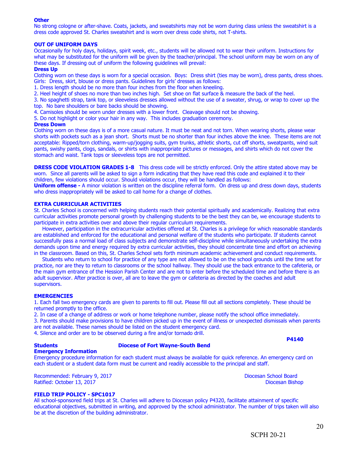#### **Other**

No strong cologne or after-shave. Coats, jackets, and sweatshirts may not be worn during class unless the sweatshirt is a dress code approved St. Charles sweatshirt and is worn over dress code shirts, not T-shirts.

#### **OUT OF UNIFORM DAYS**

Occasionally for holy days, holidays, spirit week, etc., students will be allowed not to wear their uniform. Instructions for what may be substituted for the uniform will be given by the teacher/principal. The school uniform may be worn on any of these days. If dressing out of uniform the following guidelines will prevail:

#### **Dress Up**

Clothing worn on these days is worn for a special occasion. Boys: Dress shirt (ties may be worn), dress pants, dress shoes. Girls: Dress, skirt, blouse or dress pants. Guidelines for girls' dresses as follows:

1. Dress length should be no more than four inches from the floor when kneeling.

2. Heel height of shoes no more than two inches high. Set shoe on flat surface & measure the back of the heel.

3. No spaghetti strap, tank top, or sleeveless dresses allowed without the use of a sweater, shrug, or wrap to cover up the top. No bare shoulders or bare backs should be showing.

4. Camisoles should be worn under dresses with a lower front. Cleavage should not be showing.

5. Do not highlight or color your hair in any way. This includes graduation ceremony.

#### **Dress Down**

Clothing worn on these days is of a more casual nature. It must be neat and not torn. When wearing shorts, please wear shorts with pockets such as a jean short. Shorts must be no shorter than four inches above the knee. These items are not acceptable: Ripped/torn clothing, warm-up/jogging suits, gym trunks, athletic shorts, cut off shorts, sweatpants, wind suit pants, swishy pants, clogs, sandals, or shirts with inappropriate pictures or messages, and shirts which do not cover the stomach and waist. Tank tops or sleeveless tops are not permitted.

**DRESS CODE VIOLATION GRADES 1-8** This dress code will be strictly enforced. Only the attire stated above may be worn. Since all parents will be asked to sign a form indicating that they have read this code and explained it to their children, few violations should occur. Should violations occur, they will be handled as follows:

**Uniform offense -** A minor violation is written on the discipline referral form. On dress up and dress down days, students who dress inappropriately will be asked to call home for a change of clothes.

#### **EXTRA CURRICULAR ACTIVITIES**

St. Charles School is concerned with helping students reach their potential spiritually and academically. Realizing that extra curricular activities promote personal growth by challenging students to be the best they can be, we encourage students to participate in extra activities over and above their regular curriculum requirements.

 However, participation in the extracurricular activities offered at St. Charles is a privilege for which reasonable standards are established and enforced for the educational and personal welfare of the students who participate. If students cannot successfully pass a normal load of class subjects and demonstrate self-discipline while simultaneously undertaking the extra demands upon time and energy required by extra curricular activities, they should concentrate time and effort on achieving in the classroom. Based on this, St. Charles School sets forth minimum academic achievement and conduct requirements.

 Students who return to school for practice of any type are not allowed to be on the school grounds until the time set for practice, nor are they to return to classrooms or the school hallway. They should use the back entrance to the cafeteria, or the main gym entrance of the Hession Parish Center and are not to enter before the scheduled time and before there is an adult supervisor. After practice is over, all are to leave the gym or cafeteria as directed by the coaches and adult supervisors.

#### **EMERGENCIES**

1. Each fall two emergency cards are given to parents to fill out. Please fill out all sections completely. These should be returned promptly to the office.

2. In case of a change of address or work or home telephone number, please notify the school office immediately. 3. Parents should make provisions to have children picked up in the event of illness or unexpected dismissals when parents are not available. These names should be listed on the student emergency card.

4. Silence and order are to be observed during a fire and/or tornado drill.

#### **Students Diocese of Fort Wayne-South Bend**

#### **Emergency Information**

Emergency procedure information for each student must always be available for quick reference. An emergency card on each student or a student data form must be current and readily accessible to the principal and staff.

Recommended: February 9, 2017 Diocesan School Board Ratified: October 13, 2017

#### **FIELD TRIP POLICY - SPC1017**

All school-sponsored field trips at St. Charles will adhere to Diocesan policy P4320, facilitate attainment of specific educational objectives, submitted in writing, and approved by the school administrator. The number of trips taken will also be at the discretion of the building administrator.

**P4140**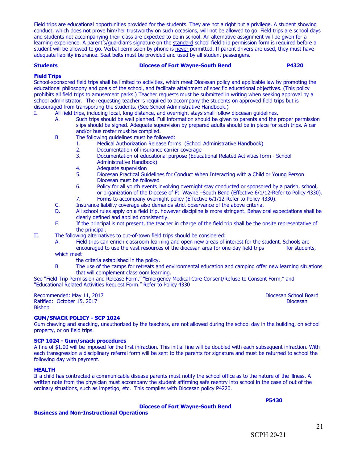Field trips are educational opportunities provided for the students. They are not a right but a privilege. A student showing conduct, which does not prove him/her trustworthy on such occasions, will not be allowed to go. Field trips are school days and students not accompanying their class are expected to be in school. An alternative assignment will be given for a learning experience. A parent's/guardian's signature on the standard school field trip permission form is required before a student will be allowed to go. Verbal permission by phone is never permitted. If parent drivers are used, they must have adequate liability insurance. Seat belts must be provided and used by all student passengers.

#### **Students Diocese of Fort Wayne-South Bend P4320**

#### **Field Trips**

School-sponsored field trips shall be limited to activities, which meet Diocesan policy and applicable law by promoting the educational philosophy and goals of the school, and facilitate attainment of specific educational objectives. (This policy prohibits all field trips to amusement parks.) Teacher requests must be submitted in writing when seeking approval by a school administrator. The requesting teacher is required to accompany the students on approved field trips but is discouraged from transporting the students. (See School Administrative Handbook.)

- I. All field trips, including local, long distance, and overnight stays shall follow diocesan guidelines.
	- A. Such trips should be well planned. Full information should be given to parents and the proper permission slips should be signed. Adequate supervision by prepared adults should be in place for such trips. A car and/or bus roster must be compiled.
	- B. The following guidelines must be followed:
		- 1. Medical Authorization Release forms (School Administrative Handbook)
		- 2. Documentation of insurance carrier coverage<br>3. Documentation of educational purpose (Educa
		- 3. Documentation of educational purpose (Educational Related Activities form School Administrative Handbook)
		- 4. Adequate supervision
		- 5. Diocesan Practical Guidelines for Conduct When Interacting with a Child or Young Person Diocesan must be followed
		- 6. Policy for all youth events involving overnight stay conducted or sponsored by a parish, school, or organization of the Diocese of Ft. Wayne –South Bend (Effective 6/1/12-Refer to Policy 4330).
		- 7. Forms to accompany overnight policy (Effective 6/1/12-Refer to Policy 4330).
	- C. Insurance liability coverage also demands strict observance of the above criteria.
	- D. All school rules apply on a field trip, however discipline is more stringent. Behavioral expectations shall be clearly defined and applied consistently.
	- E. If the principal is not present, the teacher in charge of the field trip shall be the onsite representative of the principal.
- II. The following alternatives to out-of-town field trips should be considered:
	- A. Field trips can enrich classroom learning and open new areas of interest for the student. Schools are encouraged to use the vast resources of the diocesan area for one-day field trips for students,
	- which meet
		- the criteria established in the policy.
	- B. The use of the camps for retreats and environmental education and camping offer new learning situations that will complement classroom learning.

See "Field Trip Permission and Release Form," "Emergency Medical Care Consent/Refuse to Consent Form," and "Educational Related Activities Request Form." Refer to Policy 4330

Recommended: May 11, 2017 **Diocesan School Board** Ratified: October 15, 2017 **Diocesan** Bishop

#### **GUM/SNACK POLICY - SCP 1024**

Gum chewing and snacking, unauthorized by the teachers, are not allowed during the school day in the building, on school property, or on field trips.

#### **SCP 1024 - Gum/snack procedures**

A fine of \$1.00 will be imposed for the first infraction. This initial fine will be doubled with each subsequent infraction. With each transgression a disciplinary referral form will be sent to the parents for signature and must be returned to school the following day with payment.

#### **HEALTH**

If a child has contracted a communicable disease parents must notify the school office as to the nature of the illness. A written note from the physician must accompany the student affirming safe reentry into school in the case of out of the ordinary situations, such as impetigo, etc. This complies with Diocesan policy P4220.

#### **Diocese of Fort Wayne-South Bend**

**Business and Non-Instructional Operations**

**P5430**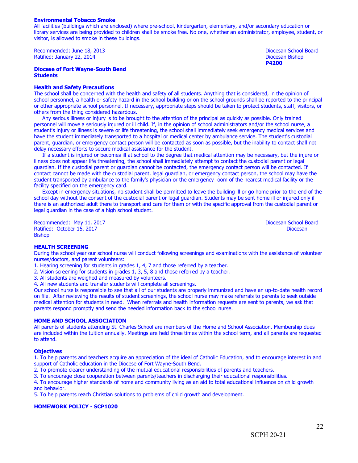#### **Environmental Tobacco Smoke**

All facilities (buildings which are enclosed) where pre-school, kindergarten, elementary, and/or secondary education or library services are being provided to children shall be smoke free. No one, whether an administrator, employee, student, or visitor, is allowed to smoke in these buildings.

Recommended: June 18, 2013 **Diocesan School Board** Ratified: January 22, 2014 Diocesan Bishop

**Diocese of Fort Wayne-South Bend Students**

#### **Health and Safety Precautions**

The school shall be concerned with the health and safety of all students. Anything that is considered, in the opinion of school personnel, a health or safety hazard in the school building or on the school grounds shall be reported to the principal or other appropriate school personnel. If necessary, appropriate steps should be taken to protect students, staff, visitors, or others from the thing considered hazardous.

 Any serious illness or injury is to be brought to the attention of the principal as quickly as possible. Only trained personnel will move a seriously injured or ill child. If, in the opinion of school administrators and/or the school nurse, a student's injury or illness is severe or life threatening, the school shall immediately seek emergency medical services and have the student immediately transported to a hospital or medical center by ambulance service. The student's custodial parent, guardian, or emergency contact person will be contacted as soon as possible, but the inability to contact shall not delay necessary efforts to secure medical assistance for the student.

 If a student is injured or becomes ill at school to the degree that medical attention may be necessary, but the injure or illness does not appear life threatening, the school shall immediately attempt to contact the custodial parent or legal guardian. If the custodial parent or guardian cannot be contacted, the emergency contact person will be contacted. If contact cannot be made with the custodial parent, legal guardian, or emergency contact person, the school may have the student transported by ambulance to the family's physician or the emergency room of the nearest medical facility or the facility specified on the emergency card.

 Except in emergency situations, no student shall be permitted to leave the building ill or go home prior to the end of the school day without the consent of the custodial parent or legal guardian. Students may be sent home ill or injured only if there is an authorized adult there to transport and care for them or with the specific approval from the custodial parent or legal guardian in the case of a high school student.

Recommended: May 11, 2017<br>
Ratified: October 15, 2017<br>
Diocesan Diocesan Diocesan Ratified: October 15, 2017 Bishop

**P4200**

#### **HEALTH SCREENING**

During the school year our school nurse will conduct following screenings and examinations with the assistance of volunteer nurses/doctors, and parent volunteers:

- 1. Hearing screening for students in grades 1, 4, 7 and those referred by a teacher.
- 2. Vision screening for students in grades 1, 3, 5, 8 and those referred by a teacher.

3. All students are weighed and measured by volunteers.

4. All new students and transfer students will complete all screenings.

Our school nurse is responsible to see that all of our students are properly immunized and have an up-to-date health record on file. After reviewing the results of student screenings, the school nurse may make referrals to parents to seek outside medical attention for students in need. When referrals and health information requests are sent to parents, we ask that parents respond promptly and send the needed information back to the school nurse.

#### **HOME AND SCHOOL ASSOCIATION**

All parents of students attending St. Charles School are members of the Home and School Association. Membership dues are included within the tuition annually. Meetings are held three times within the school term, and all parents are requested to attend.

#### **Objectives**

1. To help parents and teachers acquire an appreciation of the ideal of Catholic Education, and to encourage interest in and support of Catholic education in the Diocese of Fort Wayne-South Bend.

2. To promote clearer understanding of the mutual educational responsibilities of parents and teachers.

3. To encourage close cooperation between parents/teachers in discharging their educational responsibilities.

4. To encourage higher standards of home and community living as an aid to total educational influence on child growth and behavior.

5. To help parents reach Christian solutions to problems of child growth and development.

#### **HOMEWORK POLICY - SCP1020**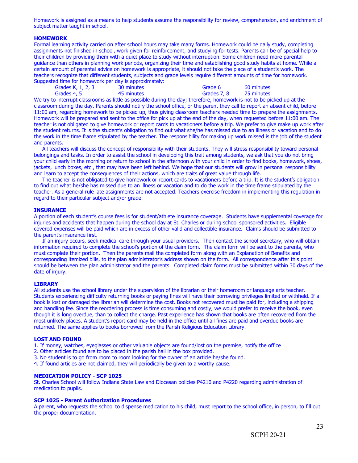Homework is assigned as a means to help students assume the responsibility for review, comprehension, and enrichment of subject matter taught in school.

#### **HOMEWORK**

Formal learning activity carried on after school hours may take many forms. Homework could be daily study, completing assignments not finished in school, work given for reinforcement, and studying for tests. Parents can be of special help to their children by providing them with a quiet place to study without interruption. Some children need more parental guidance than others in planning work periods, organizing their time and establishing good study habits at home. While a certain amount of parental advice on homework is appropriate, it should not take the place of a student's work. The teachers recognize that different students, subjects and grade levels require different amounts of time for homework. Suggested time for homework per day is approximately:

|                   | $\alpha$ can be non-chemically port as $\gamma$ is approximately if |             |            |
|-------------------|---------------------------------------------------------------------|-------------|------------|
| Grades K, 1, 2, 3 | 30 minutes                                                          | Grade 6     | 60 minutes |
| Grades 4, 5       | 45 minutes                                                          | Grades 7, 8 | 75 minutes |

We try to interrupt classrooms as little as possible during the day; therefore, homework is not to be picked up at the classroom during the day. Parents should notify the school office, or the parent they call to report an absent child, before 11:00 am, regarding homework to be picked up, thus giving classroom teachers needed time to prepare the assignments. Homework will be prepared and sent to the office for pick up at the end of the day, when requested before 11:00 am. The teacher is not obligated to give homework or report cards to vacationers before a trip. We prefer to give make up work after the student returns. It is the student's obligation to find out what she/he has missed due to an illness or vacation and to do the work in the time frame stipulated by the teacher. The responsibility for making up work missed is the job of the student and parents.

 All teachers will discuss the concept of responsibility with their students. They will stress responsibility toward personal belongings and tasks. In order to assist the school in developing this trait among students, we ask that you do not bring your child early in the morning or return to school in the afternoon with your child in order to find books, homework, shoes, jackets, lunch boxes, etc., that may have been left behind. We hope that our students will grow in personal responsibility and learn to accept the consequences of their actions, which are traits of great value through life.

 The teacher is not obligated to give homework or report cards to vacationers before a trip. It is the student's obligation to find out what he/she has missed due to an illness or vacation and to do the work in the time frame stipulated by the teacher. As a general rule late assignments are not accepted. Teachers exercise freedom in implementing this regulation in regard to their particular subject and/or grade.

#### **INSURANCE**

A portion of each student's course fees is for student/athlete insurance coverage. Students have supplemental coverage for injuries and accidents that happen during the school day at St. Charles or during school sponsored activities. Eligible covered expenses will be paid which are in excess of other valid and collectible insurance. Claims should be submitted to the parent's insurance first.

 If an injury occurs, seek medical care through your usual providers. Then contact the school secretary, who will obtain information required to complete the school's portion of the claim form. The claim form will be sent to the parents, who must complete their portion. Then the parents mail the completed form along with an Explanation of Benefits and corresponding itemized bills, to the plan administrator's address shown on the form. All correspondence after this point should be between the plan administrator and the parents. Completed claim forms must be submitted within 30 days of the date of injury.

#### **LIBRARY**

All students use the school library under the supervision of the librarian or their homeroom or language arts teacher. Students experiencing difficulty returning books or paying fines will have their borrowing privileges limited or withheld. If a book is lost or damaged the librarian will determine the cost. Books not recovered must be paid for, including a shipping and handling fee. Since the reordering process is time consuming and costly, we would prefer to receive the book, even though it is long overdue, than to collect the charge. Past experience has shown that books are often recovered from the most unlikely places. A student's report card may be held in the office until all fines are paid and overdue books are returned. The same applies to books borrowed from the Parish Religious Education Library.

#### **LOST AND FOUND**

1. If money, watches, eyeglasses or other valuable objects are found/lost on the premise, notify the office

- 2. Other articles found are to be placed in the parish hall in the box provided.
- 3. No student is to go from room to room looking for the owner of an article he/she found.
- 4. If found articles are not claimed, they will periodically be given to a worthy cause.

#### **MEDICATION POLICY - SCP 1025**

St. Charles School will follow Indiana State Law and Diocesan policies P4210 and P4220 regarding administration of medication to pupils.

#### **SCP 1025 - Parent Authorization Procedures**

A parent, who requests the school to dispense medication to his child, must report to the school office, in person, to fill out the proper documentation.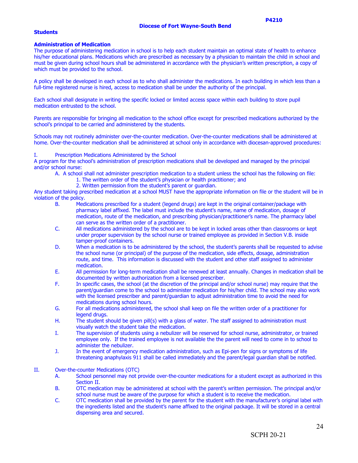#### **Students**

#### **Administration of Medication**

The purpose of administering medication in school is to help each student maintain an optimal state of health to enhance his/her educational plans. Medications which are prescribed as necessary by a physician to maintain the child in school and must be given during school hours shall be administered in accordance with the physician's written prescription, a copy of which must be provided to the school.

A policy shall be developed in each school as to who shall administer the medications. In each building in which less than a full-time registered nurse is hired, access to medication shall be under the authority of the principal.

Each school shall designate in writing the specific locked or limited access space within each building to store pupil medication entrusted to the school.

Parents are responsible for bringing all medication to the school office except for prescribed medications authorized by the school's principal to be carried and administered by the students.

Schools may not routinely administer over-the-counter medication. Over-the-counter medications shall be administered at home. Over-the-counter medication shall be administered at school only in accordance with diocesan-approved procedures:

#### I. Prescription Medications Administered by the School

A program for the school's administration of prescription medications shall be developed and managed by the principal and/or school nurse:

A. A school shall not administer prescription medication to a student unless the school has the following on file: 1. The written order of the student's physician or health practitioner; and

2. Written permission from the student's parent or guardian.

Any student taking prescribed medication at a school MUST have the appropriate information on file or the student will be in violation of the policy.

- B. Medications prescribed for a student (legend drugs) are kept in the original container/package with pharmacy label affixed. The label must include the student's name, name of medication, dosage of medication, route of the medication, and prescribing physician/practitioner's name. The pharmacy label can serve as the written order of a practitioner.
- C. All medications administered by the school are to be kept in locked areas other than classrooms or kept under proper supervision by the school nurse or trained employee as provided in Section V.B. inside tamper-proof containers.
- D. When a medication is to be administered by the school, the student's parents shall be requested to advise the school nurse (or principal) of the purpose of the medication, side effects, dosage, administration route, and time. This information is discussed with the student and other staff assigned to administer medication.
- E. All permission for long-term medication shall be renewed at least annually. Changes in medication shall be documented by written authorization from a licensed prescriber.
- F. In specific cases, the school (at the discretion of the principal and/or school nurse) may require that the parent/guardian come to the school to administer medication for his/her child. The school may also work with the licensed prescriber and parent/guardian to adjust administration time to avoid the need for medications during school hours.
- G. For all medications administered, the school shall keep on file the written order of a practitioner for legend drugs.
- H. The student should be given pill(s) with a glass of water. The staff assigned to administration must visually watch the student take the medication.
- I. The supervision of students using a nebulizer will be reserved for school nurse, administrator, or trained employee only. If the trained employee is not available the the parent will need to come in to school to administer the nebulizer.
- J. In the event of emergency medication administration, such as Epi-pen for signs or symptoms of life threatening anaphylaxis 911 shall be called immediately and the parent/legal guardian shall be notified.

#### II. Over-the-counter Medications (OTC)

- A. School personnel may not provide over-the-counter medications for a student except as authorized in this Section II.
- B. OTC medication may be administered at school with the parent's written permission. The principal and/or school nurse must be aware of the purpose for which a student is to receive the medication.
- C. OTC medication shall be provided by the parent for the student with the manufacturer's original label with the ingredients listed and the student's name affixed to the original package. It will be stored in a central dispensing area and secured.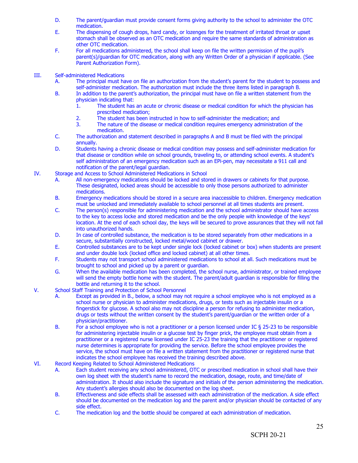- D. The parent/guardian must provide consent forms giving authority to the school to administer the OTC medication.
- E. The dispensing of cough drops, hard candy, or lozenges for the treatment of irritated throat or upset stomach shall be observed as an OTC medication and require the same standards of administration as other OTC medication.
- F. For all medications administered, the school shall keep on file the written permission of the pupil's parent(s)/guardian for OTC medication, along with any Written Order of a physician if applicable. (See Parent Authorization Form).

#### III. Self-administered Medications

- A. The principal must have on file an authorization from the student's parent for the student to possess and self-administer medication. The authorization must include the three items listed in paragraph B.
- B. In addition to the parent's authorization, the principal must have on file a written statement from the physician indicating that:
	- 1. The student has an acute or chronic disease or medical condition for which the physician has prescribed medication;
	- 2. The student has been instructed in how to self-administer the medication; and
	- 3. The nature of the disease or medical condition requires emergency administration of the medication.
- C. The authorization and statement described in paragraphs A and B must be filed with the principal annually.
- D. Students having a chronic disease or medical condition may possess and self-administer medication for that disease or condition while on school grounds, traveling to, or attending school events. A student's self administration of an emergency medication such as an EPi-pen, may necessitate a 911 call and notification of the parent/legal guardian.
- IV. Storage and Access to School Administered Medications in School
	- A. All non-emergency medications should be locked and stored in drawers or cabinets for that purpose. These designated, locked areas should be accessible to only those persons authorized to administer medications.
	- B. Emergency medications should be stored in a secure area inaccessible to children. Emergency medication must be unlocked and immediately available to school personnel at all times students are present.
	- C. The person(s) responsible for administering medication and the school administrator should have access to the key to access locke and stored medication and be the only people with knowledge of the keys' location. At the end of each school day, the keys will be secured to prove assurances that they will not fall into unauthorized hands.
	- D. In case of controlled substance, the medication is to be stored separately from other medications in a secure, substantially constructed, locked metal/wood cabinet or drawer.
	- E. Controlled substances are to be kept under single lock (locked cabinet or box) when students are present and under double lock (locked office and locked cabinet) at all other times.
	- F. Students may not transport school administered medications to school at all. Such medications must be brought to school and picked up by a parent or guardian.
	- G. When the available medication has been completed, the school nurse, administrator, or trained employee will send the empty bottle home with the student. The parent/adult guardian is responsible for filling the bottle and returning it to the school.
- V. School Staff Training and Protection of School Personnel
	- A. Except as provided in B., below, a school may not require a school employee who is not employed as a school nurse or physician to administer medications, drugs, or tests such as injectable insulin or a fingerstick for glucose. A school also may not discipline a person for refusing to administer medication, drugs or tests without the written consent by the student's parent/guardian or the written order of a physician/practitioner.
	- B. For a school employee who is not a practitioner or a person licensed under IC § 25-23 to be responsible for administering injectable insulin or a glucose test by finger prick, the employee must obtain from a practitioner or a registered nurse licensed under IC 25-23 the training that the practitioner or registered nurse determines is appropriate for providing the service. Before the school employee provides the service, the school must have on file a written statement from the practitioner or registered nurse that indicates the school employee has received the training described above.

#### VI. Record Keeping Related to School Administered Medications

- A. Each student receiving any school administered, OTC or prescribed medication in school shall have their own log sheet with the student's name to record the medication, dosage, route, and time/date of administration. It should also include the signature and initials of the person administering the medication. Any student's allergies should also be documented on the log sheet.
- B. Effectiveness and side effects shall be assessed with each administration of the medication. A side effect should be documented on the medication log and the parent and/or physician should be contacted of any side effect.
- C. The medication log and the bottle should be compared at each administration of medication.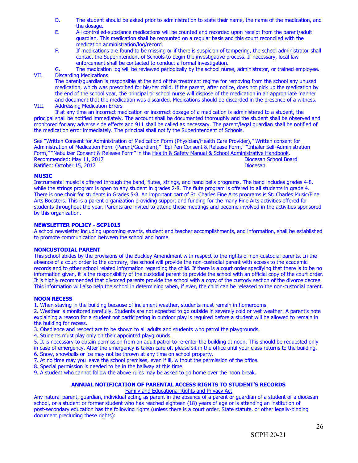- D. The student should be asked prior to administration to state their name, the name of the medication, and the dosage.
- E. All controlled-substance medications will be counted and recorded upon receipt from the parent/adult guardian. This medication shall be recounted on a regular basis and this count reconciled with the medication administration/log/record.
- F. If medications are found to be missing or if there is suspicion of tampering, the school administrator shall contact the Superintendent of Schools to begin the investigative process. If necessary, local law enforcement shall be contacted to conduct a formal investigation.
- G. The medication log will be reviewed periodically by the school nurse, administrator, or trained employee. VII. Discarding Medications

The parent/guardian is responsible at the end of the treatment regime for removing from the school any unused medication, which was prescribed for his/her child. If the parent, after notice, does not pick up the medication by the end of the school year, the principal or school nurse will dispose of the medication in an appropriate manner and document that the medication was discarded. Medications should be discarded in the presence of a witness. VIII. Addressing Medication Errors

If at any time an incorrect medication or incorrect dosage of a medication is administered to a student, the principal shall be notified immediately. The account shall be documented thoroughly and the student shall be observed and monitored for any adverse side effects and 911 shall be called as necessary. The parent/legal guardian shall be notified of the medication error immediately. The principal shall notify the Superintendent of Schools.

See "Written Consent for Administration of Medication Form (Physician/Health Care Provider)," Written consent for Administration of Medication Form (Parent/Guardian)," "Epi Pen Consent & Release Form," "Inhaler Self-Administration Form," "Nebulizer Consent & Release Form" in the Health & Safety Manual & School Administrative Handbook. Recommended: May 11, 2017 **Diocesan School Board** Ratified: October 15, 2017 **Diocesan** 

#### **MUSIC**

Instrumental music is offered through the band, flutes, strings, and hand bells programs. The band includes grades 4-8, while the strings program is open to any student in grades 2-8. The flute program is offered to all students in grade 4. There is one choir for students in Grades 5-8. An important part of St. Charles Fine Arts programs is St. Charles Music/Fine Arts Boosters. This is a parent organization providing support and funding for the many Fine Arts activities offered for students throughout the year. Parents are invited to attend these meetings and become involved in the activities sponsored by this organization.

#### **NEWSLETTER POLICY - SCP1015**

A school newsletter including upcoming events, student and teacher accomplishments, and information, shall be established to promote communication between the school and home.

#### **NONCUSTODIAL PARENT**

This school abides by the provisions of the Buckley Amendment with respect to the rights of non-custodial parents. In the absence of a court order to the contrary, the school will provide the non-custodial parent with access to the academic records and to other school related information regarding the child. If there is a court order specifying that there is to be no information given, it is the responsibility of the custodial parent to provide the school with an official copy of the court order. It is highly recommended that divorced parents provide the school with a copy of the custody section of the divorce decree. This information will also help the school in determining when, if ever, the child can be released to the non-custodial parent.

#### **NOON RECESS**

1. When staying in the building because of inclement weather, students must remain in homerooms.

2. Weather is monitored carefully. Students are not expected to go outside in severely cold or wet weather. A parent's note explaining a reason for a student not participating in outdoor play is required before a student will be allowed to remain in the building for recess.

3. Obedience and respect are to be shown to all adults and students who patrol the playgrounds.

- 4. Students must play only on their appointed playgrounds.
- 5. It is necessary to obtain permission from an adult patrol to re-enter the building at noon. This should be requested only

in case of emergency. After the emergency is taken care of, please sit in the office until your class returns to the building.

6. Snow, snowballs or ice may not be thrown at any time on school property.

7. At no time may you leave the school premises, even if ill, without the permission of the office.

8. Special permission is needed to be in the hallway at this time.

9. A student who cannot follow the above rules may be asked to go home over the noon break.

#### **ANNUAL NOTIFICATION OF PARENTAL ACCESS RIGHTS TO STUDENT'S RECORDS**

#### Family and Educational Rights and Privacy Act

Any natural parent, guardian, individual acting as parent in the absence of a parent or guardian of a student of a diocesan school, or a student or former student who has reached eighteen (18) years of age or is attending an institution of post-secondary education has the following rights (unless there is a court order, State statute, or other legally-binding document precluding these rights):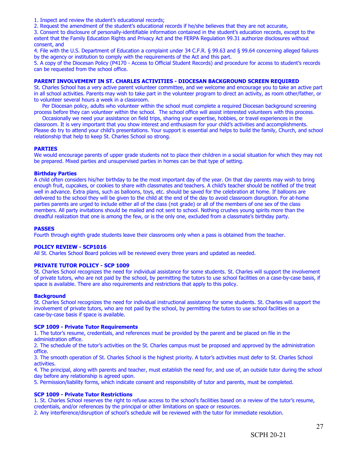1. Inspect and review the student's educational records;

2. Request the amendment of the student's educational records if he/she believes that they are not accurate,

3. Consent to disclosure of personally-identifiable information contained in the student's education records, except to the extent that the Family Education Rights and Privacy Act and the FERPA Regulation 99.31 authorize disclosures without consent, and

4. File with the U.S. Department of Education a complaint under 34 C.F.R. § 99.63 and § 99.64 concerning alleged failures by the agency or institution to comply with the requirements of the Act and this part.

5. A copy of the Diocesan Policy (P4170 - Access to Official Student Records) and procedure for access to student's records can be requested from the school office.

#### **PARENT INVOLVEMENT IN ST. CHARLES ACTIVITIES - DIOCESAN BACKGROUND SCREEN REQUIRED**

St. Charles School has a very active parent volunteer committee, and we welcome and encourage you to take an active part in all school activities. Parents may wish to take part in the volunteer program to direct an activity, as room other/father, or to volunteer several hours a week in a classroom.

 Per Diocesan policy, adults who volunteer within the school must complete a required Diocesan background screening process before they can volunteer within the school. The school office will assist interested volunteers with this process.

 Occasionally we need your assistance on field trips, sharing your expertise, hobbies, or travel experiences in the classroom. It is very important that you show interest and enthusiasm for your child's activities and accomplishments. Please do try to attend your child's presentations. Your support is essential and helps to build the family, Church, and school relationship that help to keep St. Charles School so strong.

#### **PARTIES**

We would encourage parents of upper grade students not to place their children in a social situation for which they may not be prepared. Mixed parties and unsupervised parties in homes can be that type of setting.

#### **Birthday Parties**

A child often considers his/her birthday to be the most important day of the year. On that day parents may wish to bring enough fruit, cupcakes, or cookies to share with classmates and teachers. A child's teacher should be notified of the treat well in advance. Extra plans, such as balloons, toys, etc. should be saved for the celebration at home. If balloons are delivered to the school they will be given to the child at the end of the day to avoid classroom disruption. For at-home parties parents are urged to include either all of the class (not grade) or all of the members of one sex of the class members. All party invitations should be mailed and not sent to school. Nothing crushes young spirits more than the dreadful realization that one is among the few, or is the only one, excluded from a classmate's birthday party.

#### **PASSES**

Fourth through eighth grade students leave their classrooms only when a pass is obtained from the teacher.

#### **POLICY REVIEW - SCP1016**

All St. Charles School Board policies will be reviewed every three years and updated as needed.

#### **PRIVATE TUTOR POLICY - SCP 1009**

St. Charles School recognizes the need for individual assistance for some students. St. Charles will support the involvement of private tutors, who are not paid by the school, by permitting the tutors to use school facilities on a case-by-case basis, if space is available. There are also requirements and restrictions that apply to this policy.

#### **Background**

St. Charles School recognizes the need for individual instructional assistance for some students. St. Charles will support the involvement of private tutors, who are not paid by the school, by permitting the tutors to use school facilities on a case-by-case basis if space is available.

#### **SCP 1009 - Private Tutor Requirements**

1. The tutor's resume, credentials, and references must be provided by the parent and be placed on file in the administration office.

2. The schedule of the tutor's activities on the St. Charles campus must be proposed and approved by the administration office.

3. The smooth operation of St. Charles School is the highest priority. A tutor's activities must defer to St. Charles School activities.

4. The principal, along with parents and teacher, must establish the need for, and use of, an outside tutor during the school day before any relationship is agreed upon.

5. Permission/liability forms, which indicate consent and responsibility of tutor and parents, must be completed.

#### **SCP 1009 - Private Tutor Restrictions**

1. St. Charles School reserves the right to refuse access to the school's facilities based on a review of the tutor's resume, credentials, and/or references by the principal or other limitations on space or resources.

2. Any interference/disruption of school's schedule will be reviewed with the tutor for immediate resolution.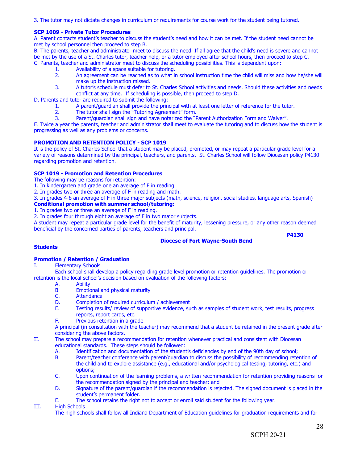3. The tutor may not dictate changes in curriculum or requirements for course work for the student being tutored.

#### **SCP 1009 - Private Tutor Procedures**

A. Parent contacts student's teacher to discuss the student's need and how it can be met. If the student need cannot be met by school personnel then proceed to step B.

B. The parents, teacher and administrator meet to discuss the need. If all agree that the child's need is severe and cannot be met by the use of a St. Charles tutor, teacher help, or a tutor employed after school hours, then proceed to step C.

- C. Parents, teacher and administrator meet to discuss the scheduling possibilities. This is dependent upon:
	- 1. Availability of a space suitable for tutoring.<br>2. An agreement can be reached as to what is
	- 2. An agreement can be reached as to what in school instruction time the child will miss and how he/she will make up the instruction missed.
	- 3. A tutor's schedule must defer to St. Charles School activities and needs. Should these activities and needs conflict at any time. If scheduling is possible, then proceed to step D.

D. Parents and tutor are required to submit the following:

- 1. A parent/guardian shall provide the principal with at least one letter of reference for the tutor.<br>2. The tutor shall sign the "Tutoring Agreement" form.
- The tutor shall sign the "Tutoring Agreement" form.
- 3. Parent/guardian shall sign and have notarized the "Parent Authorization Form and Waiver".

E. Twice a year the parents, teacher and administrator shall meet to evaluate the tutoring and to discuss how the student is progressing as well as any problems or concerns.

#### **PROMOTION AND RETENTION POLICY - SCP 1019**

It is the policy of St. Charles School that a student may be placed, promoted, or may repeat a particular grade level for a variety of reasons determined by the principal, teachers, and parents. St. Charles School will follow Diocesan policy P4130 regarding promotion and retention.

#### **SCP 1019 - Promotion and Retention Procedures**

The following may be reasons for retention:

1. In kindergarten and grade one an average of F in reading

2. In grades two or three an average of F in reading and math.

3. In grades 4-8 an average of F in three major subjects (math, science, religion, social studies, language arts, Spanish) **Conditional promotion with summer school/tutoring:**

1. In grades two or three an average of F in reading.

2. In grades four through eight an average of F in two major subjects.

A student may repeat a particular grade level for the benefit of maturity, lessening pressure, or any other reason deemed beneficial by the concerned parties of parents, teachers and principal.

**P4130**

#### **Students**

## **Diocese of Fort Wayne-South Bend**

#### **Promotion / Retention / Graduation**

**Elementary Schools** 

Each school shall develop a policy regarding grade level promotion or retention guidelines. The promotion or retention is the local school's decision based on evaluation of the following factors:

- A. Ability<br>B. Emotic
- B. Emotional and physical maturity<br>C. Attendance
- C. Attendance<br>D. Completion
- D. Completion of required curriculum / achievement<br>E. Testing results/ review of supportive evidence, su
- Testing results/ review of supportive evidence, such as samples of student work, test results, progress reports, report cards, etc.
- F. Previous retention in a grade

A principal (in consultation with the teacher) may recommend that a student be retained in the present grade after considering the above factors.

- II. The school may prepare a recommendation for retention whenever practical and consistent with Diocesan educational standards. These steps should be followed:
	- A. Identification and documentation of the student's deficiencies by end of the 90th day of school;<br>B. Parent/teacher conference with parent/quardian to discuss the possibility of recommending rete
	- Parent/teacher conference with parent/quardian to discuss the possibility of recommending retention of the child and to explore assistance (e.g., educational and/or psychological testing, tutoring, etc.) and options;
	- C. Upon continuation of the learning problems, a written recommendation for retention providing reasons for the recommendation signed by the principal and teacher; and
	- D. Signature of the parent/guardian if the recommendation is rejected. The signed document is placed in the student's permanent folder.
	- E. The school retains the right not to accept or enroll said student for the following year.

III. High Schools

The high schools shall follow all Indiana Department of Education guidelines for graduation requirements and for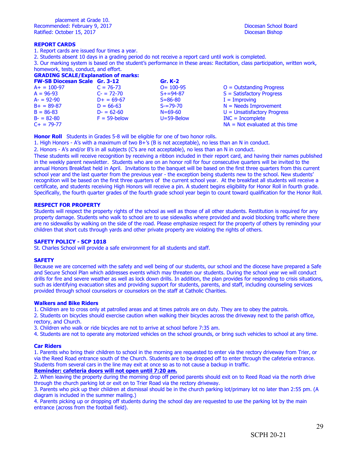#### **REPORT CARDS**

1. Report cards are issued four times a year.

2. Students absent 10 days in a grading period do not receive a report card until work is completed.

3. Our marking system is based on the student's performance in these areas: Recitation, class participation, written work, homework, tests, conduct, and effort.

#### **GRADING SCALE/Explanation of marks:**

| <b>FW-SB Diocesan Scale Gr. 3-12</b> |                 | <b>Gr. K-2</b>   |                                   |
|--------------------------------------|-----------------|------------------|-----------------------------------|
| $A+ = 100-97$                        | $C = 76 - 73$   | $O = 100 - 95$   | $O =$ Outstanding Progress        |
| $A = 96-93$                          | $C = 72 - 70$   | $S + = 94 - 87$  | $S = Satisfactory$ Progress       |
| $A = 92-90$                          | $D+ = 69-67$    | $S = 86 - 80$    | $I = Improving$                   |
| $B+ = 89-87$                         | $D = 66-63$     | $S = 79 - 70$    | $N =$ Needs Improvement           |
| $B = 86 - 83$                        | $D = 62 - 60$   | $N = 69 - 60$    | $U =$ Unsatisfactory Progress     |
| $B = 82-80$                          | $F = 59$ -below | $U = 59 - Below$ | $INC = Incomplete$                |
| $C_{+}$ = 79-77                      |                 |                  | $NA = Not evaluated at this time$ |

**Honor Roll** Students in Grades 5-8 will be eligible for one of two honor rolls.

1. High Honors - A's with a maximum of two B+'s (B is not acceptable), no less than an N in conduct.

2. Honors - A's and/or B's in all subjects (C's are not acceptable), no less than an N in conduct.

These students will receive recognition by receiving a ribbon included in their report card, and having their names published in the weekly parent newsletter. Students who are on an honor roll for four consecutive quarters will be invited to the annual Honors Breakfast held in April. Invitations to the banquet will be based on the first three quarters from this current school year and the last quarter from the previous year - the exception being students new to the school. New students' recognition will be based on the first three quarters of the current school year. At the breakfast all students will receive a certificate, and students receiving High Honors will receive a pin. A student begins eligibility for Honor Roll in fourth grade. Specifically, the fourth quarter grades of the fourth grade school year begin to count toward qualification for the Honor Roll.

#### **RESPECT FOR PROPERTY**

Students will respect the property rights of the school as well as those of all other students. Restitution is required for any property damage. Students who walk to school are to use sidewalks where provided and avoid blocking traffic where there are no sidewalks by walking on the side of the road. Please emphasize respect for the property of others by reminding your children that short cuts through yards and other private property are violating the rights of others.

#### **SAFETY POLICY - SCP 1018**

St. Charles School will provide a safe environment for all students and staff.

#### **SAFETY**

Because we are concerned with the safety and well being of our students, our school and the diocese have prepared a Safe and Secure School Plan which addresses events which may threaten our students. During the school year we will conduct drills for fire and severe weather as well as lock down drills. In addition, the plan provides for responding to crisis situations, such as identifying evacuation sites and providing support for students, parents, and staff, including counseling services provided through school counselors or counselors on the staff at Catholic Charities.

#### **Walkers and Bike Riders**

1. Children are to cross only at patrolled areas and at times patrols are on duty. They are to obey the patrols.

2. Students on bicycles should exercise caution when walking their bicycles across the driveway next to the parish office, rectory, and Church.

3. Children who walk or ride bicycles are not to arrive at school before 7:35 am.

4. Students are not to operate any motorized vehicles on the school grounds, or bring such vehicles to school at any time.

#### **Car Riders**

1. Parents who bring their children to school in the morning are requested to enter via the rectory driveway from Trier, or via the Reed Road entrance south of the Church. Students are to be dropped off to enter through the cafeteria entrance. Students from several cars in the line may exit at once so as to not cause a backup in traffic.

#### **Reminder: cafeteria doors will not open until 7:20 am.**

2. When leaving the property during the morning drop off period parents should exit on to Reed Road via the north drive through the church parking lot or exit on to Trier Road via the rectory driveway.

3. Parents who pick up their children at dismissal should be in the church parking lot/primary lot no later than 2:55 pm. (A diagram is included in the summer mailing.)

4. Parents picking up or dropping off students during the school day are requested to use the parking lot by the main entrance (across from the football field).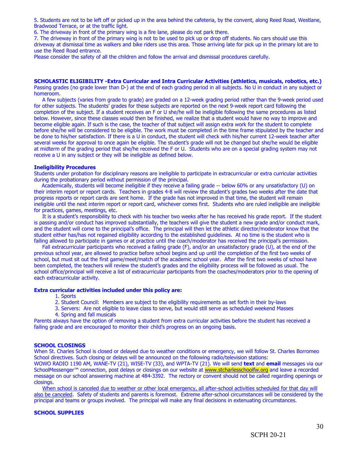5. Students are not to be left off or picked up in the area behind the cafeteria, by the convent, along Reed Road, Westlane, Bradwood Terrace, or at the traffic light.

6. The driveway in front of the primary wing is a fire lane, please do not park there.

7. The driveway in front of the primary wing is not to be used to pick up or drop off students. No cars should use this driveway at dismissal time as walkers and bike riders use this area. Those arriving late for pick up in the primary lot are to use the Reed Road entrance.

Please consider the safety of all the children and follow the arrival and dismissal procedures carefully.

#### **SCHOLASTIC ELIGIBILITY -Extra Curricular and Intra Curricular Activities (athletics, musicals, robotics, etc.)**

Passing grades (no grade lower than D-) at the end of each grading period in all subjects. No U in conduct in any subject or homeroom.

 A few subjects (varies from grade to grade) are graded on a 12-week grading period rather than the 9-week period used for other subjects. The students' grades for these subjects are reported on the next 9-week report card following the completion of the subject. If a student receives an F or U she/he will be ineligible following the same procedures as listed below. However, since these classes would then be finished, we realize that a student would have no way to improve and become eligible again. If such is the case, the teacher of that subject will assign extra work for the student to complete before she/he will be considered to be eligible. The work must be completed in the time frame stipulated by the teacher and be done to his/her satisfaction. If there is a U in conduct, the student will check with his/her current 12-week teacher after several weeks for approval to once again be eligible. The student's grade will not be changed but she/he would be eligible at midterm of the grading period that she/he received the F or U. Students who are on a special grading system may not receive a U in any subject or they will be ineligible as defined below.

#### **Ineligibility Procedures**

Students under probation for disciplinary reasons are ineligible to participate in extracurricular or extra curricular activities during the probationary period without permission of the principal.

Academically, students will become ineligible if they receive a failing grade -- below 60% or any unsatisfactory (U) on their interim report or report cards. Teachers in grades 4-8 will review the student's grades two weeks after the date that progress reports or report cards are sent home. If the grade has not improved in that time, the student will remain ineligible until the next interim report or report card, whichever comes first. Students who are ruled ineligible are ineligible for practices, games, meetings, etc.

 It is a student's responsibility to check with his teacher two weeks after he has received his grade report. If the student is passing and/or conduct has improved substantially, the teachers will give the student a new grade and/or conduct mark, and the student will come to the principal's office. The principal will then let the athletic director/moderator know that the student either has/has not regained eligibility according to the established guidelines. At no time is the student who is failing allowed to participate in games or at practice until the coach/moderator has received the principal's permission.

 Fall extracurricular participants who received a failing grade (F), and/or an unsatisfactory grade (U), at the end of the previous school year, are allowed to practice before school begins and up until the completion of the first two weeks of school, but must sit out the first game/meet/match of the academic school year. After the first two weeks of school have been completed, the teachers will review the student's grades and the eligibility process will be followed as usual. The school office/principal will receive a list of extracurricular participants from the coaches/moderators prior to the opening of each extracurricular activity.

#### **Extra curricular activities included under this policy are:**

1. Sports

2. Student Council: Members are subject to the eligibility requirements as set forth in their by-laws

3. Servers: Are not eligible to leave class to serve, but would still serve as scheduled weekend Masses

4. Spring and fall musicals

Parents always have the option of removing a student from extra curricular activities before the student has received a failing grade and are encouraged to monitor their child's progress on an ongoing basis.

#### **SCHOOL CLOSINGS**

When St. Charles School is closed or delayed due to weather conditions or emergency, we will follow St. Charles Borromeo School directives. Such closing or delays will be announced on the following radio/television stations:

WOWO RADIO 1190 AM, WANE-TV (21), WISE-TV (33), and WPTA-TV (21). We will send **text** and **email** messages via our SchoolMessenger™ connection, post delays or closings on our website at [www.stcharlesschoolfw.org](http://www.stcfw.org/) and leave a recorded message on our school answering machine at 484-3392. The rectory or convent should not be called regarding openings or closings.

When school is canceled due to weather or other local emergency, all after-school activities scheduled for that day will also be canceled. Safety of students and parents is foremost. Extreme after-school circumstances will be considered by the principal and teams or groups involved. The principal will make any final decisions in extenuating circumstances.

#### **SCHOOL SUPPLIES**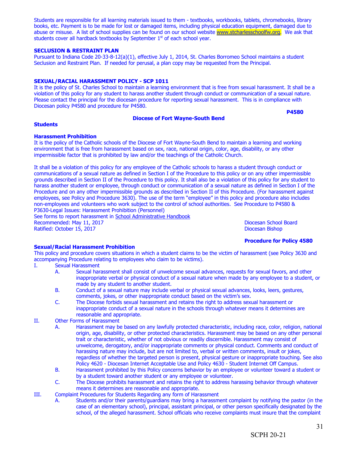Students are responsible for all learning materials issued to them - textbooks, workbooks, tablets, chromebooks, library books, etc. Payment is to be made for lost or damaged items, including physical education equipment, damaged due to abuse or misuse. A list of school supplies can be found on our school website [www.stcharlesschoolfw.org.](http://www.stcfw.org/) We ask that students cover all hardback textbooks by September  $1<sup>st</sup>$  of each school year.

#### **SECLUSION & RESTRAINT PLAN**

Pursuant to Indiana Code 20-33-8-12(a)(1), effective July 1, 2014, St. Charles Borromeo School maintains a student Seclusion and Restraint Plan. If needed for perusal, a plan copy may be requested from the Principal.

#### **SEXUAL/RACIAL HARASSMENT POLICY - SCP 1011**

It is the policy of St. Charles School to maintain a learning environment that is free from sexual harassment. It shall be a violation of this policy for any student to harass another student through conduct or communication of a sexual nature. Please contact the principal for the diocesan procedure for reporting sexual harassment. This is in compliance with Diocesan policy P4580 and procedure for P4580.

#### **Diocese of Fort Wayne-South Bend**

**P4580**

#### **Students**

#### **Harassment Prohibition**

It is the policy of the Catholic schools of the Diocese of Fort Wayne-South Bend to maintain a learning and working environment that is free from harassment based on sex, race, national origin, color, age, disability, or any other impermissible factor that is prohibited by law and/or the teachings of the Catholic Church.

It shall be a violation of this policy for any employee of the Catholic schools to harass a student through conduct or communications of a sexual nature as defined in Section I of the Procedure to this policy or on any other impermissible grounds described in Section II of the Procedure to this policy. It shall also be a violation of this policy for any student to harass another student or employee, through conduct or communication of a sexual nature as defined in Section I of the Procedure and on any other impermissible grounds as described in Section II of this Procedure. (For harassment against employees, see Policy and Procedure 3630). The use of the term "employee" in this policy and procedure also includes non-employees and volunteers who work subject to the control of school authorities. See Procedure to P4580 & P3630-Legal Issues: Harassment Prohibition (Personnel)

See forms to report harassment in School Administrative Handbook Recommended: May 11, 2017<br>
Ratified: October 15, 2017<br>
Diocesan Bishop Diocesan School Board Ratified: October 15, 2017

#### **Procedure for Policy 4580**

#### **Sexual/Racial Harassment Prohibition**

This policy and procedure covers situations in which a student claims to be the victim of harassment (see Policy 3630 and accompanying Procedure relating to employees who claim to be victims).

- I. Sexual Harassment
	- A. Sexual harassment shall consist of unwelcome sexual advances, requests for sexual favors, and other inappropriate verbal or physical conduct of a sexual nature when made by any employee to a student, or made by any student to another student.
	- B. Conduct of a sexual nature may include verbal or physical sexual advances, looks, leers, gestures, comments, jokes, or other inappropriate conduct based on the victim's sex.
	- C. The Diocese forbids sexual harassment and retains the right to address sexual harassment or inappropriate conduct of a sexual nature in the schools through whatever means it determines are reasonable and appropriate.
- II. Other Forms of Harassment
	- A. Harassment may be based on any lawfully protected characteristic, including race, color, religion, national origin, age, disability, or other protected characteristics. Harassment may be based on any other personal trait or characteristic, whether of not obvious or readily discernible. Harassment may consist of unwelcome, derogatory, and/or inappropriate comments or physical conduct. Comments and conduct of harassing nature may include, but are not limited to, verbal or written comments, insult or jokes, regardless of whether the targeted person is present, physical gesture or inappropriate touching. See also Policy 4620 - Diocesan Internet Acceptable Use and Policy 4630 - Student Internet Off Campus.
	- B. Harassment prohibited by this Policy concerns behavior by an employee or volunteer toward a student or by a student toward another student or any employee or volunteer.
	- C. The Diocese prohibits harassment and retains the right to address harassing behavior through whatever means it determines are reasonable and appropriate.
- III. Complaint Procedures for Students Regarding any form of Harassment
	- A. Students and/or their parents/guardians may bring a harassment complaint by notifying the pastor (in the case of an elementary school), principal, assistant principal, or other person specifically designated by the school, of the alleged harassment. School officials who receive complaints must insure that the complaint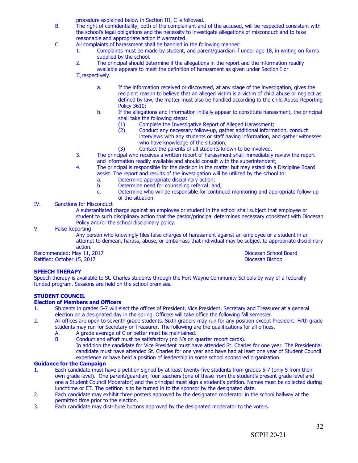procedure explained below in Section III, C is followed.

- B. The right of confidentiality, both of the complainant and of the accused, will be respected consistent with the school's legal obligations and the necessity to investigate allegations of misconduct and to take reasonable and appropriate action if warranted.
- C. All complaints of harassment shall be handled in the following manner:
	- 1. Complaints must be made by student, and parent/guardian if under age 18, in writing on forms supplied by the school.
	- 2. The principal should determine if the allegations in the report and the information readily available appears to meet the definition of harassment as given under Section I or

II,respectively.

- a. If the information received or discovered, at any stage of the investigation, gives the recipient reason to believe that an alleged victim is a victim of child abuse or neglect as defined by law, the matter must also be handled according to the child Abuse Reporting Policy 3610;
- b. If the allegations and information initially appear to constitute harassment, the principal shall take the following steps:
	- (1) Complete the <u>Investigative Report of Alleged Harassment</u>;<br>(2) Conduct any necessary follow-up, gather additional inform
		- Conduct any necessary follow-up, gather additional information, conduct interviews with any students or staff having information, and gather witnesses who have knowledge of the situation;
	- (3) Contact the parents of all students known to be involved.
- 3. The principal who receives a written report of harassment shall immediately review the report and information readily available and should consult with the superintendent;
- 4. The principal is responsible for the decision in the matter but may establish a Discipline Board assist. The report and results of the investigation will be utilized by the school to:
	- a. Determine appropriate disciplinary action;
	- b. Determine need for counseling referral; and,
	- c. Determine who will be responsible for continued monitoring and appropriate follow-up of the situation.

#### IV. Sanctions for Misconduct

A substantiated charge against an employee or student in the school shall subject that employee or student to such disciplinary action that the pastor/principal determines necessary consistent with Diocesan Policy and/or the school disciplinary policy.

V. False Reporting

Any person who knowingly files false charges of harassment against an employee or a student in an attempt to demean, harass, abuse, or embarrass that individual may be subject to appropriate disciplinary action.

Recommended: May 11, 2017 **Diocesan School Board** Ratified: October 15, 2017 Diocesan Bishop

#### **SPEECH THERAPY**

Speech therapy is available to St. Charles students through the Fort Wayne Community Schools by way of a federally funded program. Sessions are held on the school premises.

#### **STUDENT COUNCIL**

#### **Election of Members and Officers**

- 1. Students in grades 5-7 will elect the offices of President, Vice President, Secretary and Treasurer at a general election on a designated day in the spring. Officers will take office the following fall semester.
- 2. All offices are open to seventh grade students. Sixth graders may run for any position except President. Fifth grade students may run for Secretary or Treasurer. The following are the qualifications for all offices.
	-
	- A. A grade average of C or better must be maintained.<br>B. Conduct and effort must be satisfactory (no N's on d Conduct and effort must be satisfactory (no N's on quarter report cards). In addition the candidate for Vice President must have attended St. Charles for one year. The Presidential candidate must have attended St. Charles for one year and have had at least one year of Student Council experience or have held a position of leadership in some school sponsored organization.

#### **Guidance for the Campaign**

- 1. Each candidate must have a petition signed by at least twenty-five students from grades 5-7 (only 5 from their own grade level). One parent/guardian, four teachers (one of these from the student's present grade level and one a Student Council Moderator) and the principal must sign a student's petition. Names must be collected during lunchtime or ET. The petition is to be turned in to the sponsor by the designated date.
- 2. Each candidate may exhibit three posters approved by the designated moderator in the school hallway at the permitted time prior to the election.
- 3. Each candidate may distribute buttons approved by the designated moderator to the voters.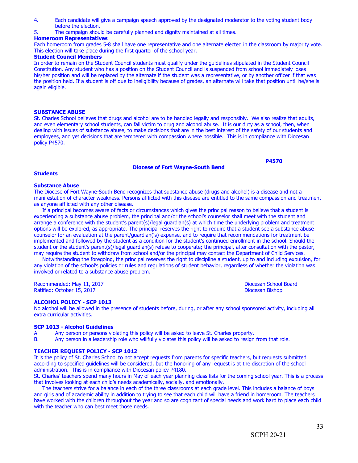- 4. Each candidate will give a campaign speech approved by the designated moderator to the voting student body before the election.
- 5. The campaign should be carefully planned and dignity maintained at all times.

#### **Homeroom Representatives**

Each homeroom from grades 5-8 shall have one representative and one alternate elected in the classroom by majority vote. This election will take place during the first quarter of the school year.

#### **Student Council Members**

In order to remain on the Student Council students must qualify under the guidelines stipulated in the Student Council Constitution. Any student who has a position on the Student Council and is suspended from school immediately loses his/her position and will be replaced by the alternate if the student was a representative, or by another officer if that was the position held. If a student is off due to ineligibility because of grades, an alternate will take that position until he/she is again eligible.

#### **SUBSTANCE ABUSE**

St. Charles School believes that drugs and alcohol are to be handled legally and responsibly. We also realize that adults, and even elementary school students, can fall victim to drug and alcohol abuse. It is our duty as a school, then, when dealing with issues of substance abuse, to make decisions that are in the best interest of the safety of our students and employees, and yet decisions that are tempered with compassion where possible. This is in compliance with Diocesan policy P4570.

#### **Diocese of Fort Wayne-South Bend**

#### **Students**

#### **Substance Abuse**

The Diocese of Fort Wayne-South Bend recognizes that substance abuse (drugs and alcohol) is a disease and not a manifestation of character weakness. Persons afflicted with this disease are entitled to the same compassion and treatment as anyone afflicted with any other disease.

 If a principal becomes aware of facts or circumstances which gives the principal reason to believe that a student is experiencing a substance abuse problem, the principal and/or the school's counselor shall meet with the student and arrange a conference with the student's parent(s)/legal guardian(s) at which time the underlying problem and treatment options will be explored, as appropriate. The principal reserves the right to require that a student see a substance abuse counselor for an evaluation at the parent/guardian('s) expense, and to require that recommendations for treatment be implemented and followed by the student as a condition for the student's continued enrollment in the school. Should the student or the student's parent(s)/legal guardian(s) refuse to cooperate; the principal, after consultation with the pastor, may require the student to withdraw from school and/or the principal may contact the Department of Child Services.

 Notwithstanding the foregoing, the principal reserves the right to discipline a student, up to and including expulsion, for any violation of the school's policies or rules and regulations of student behavior, regardless of whether the violation was involved or related to a substance abuse problem.

Recommended: May 11, 2017 **Diocesan School Board** Ratified: October 15, 2017 Diocesan Bishop

**P4570**

#### **ALCOHOL POLICY - SCP 1013**

No alcohol will be allowed in the presence of students before, during, or after any school sponsored activity, including all extra curricular activities.

#### **SCP 1013 - Alcohol Guidelines**

- A. Any person or persons violating this policy will be asked to leave St. Charles property.
- B. Any person in a leadership role who willfully violates this policy will be asked to resign from that role.

#### **TEACHER REQUEST POLICY - SCP 1012**

It is the policy of St. Charles School to not accept requests from parents for specific teachers, but requests submitted according to specified guidelines will be considered, but the honoring of any request is at the discretion of the school administration. This is in compliance with Diocesan policy P4180.

St. Charles' teachers spend many hours in May of each year planning class lists for the coming school year. This is a process that involves looking at each child's needs academically, socially, and emotionally.

 The teachers strive for a balance in each of the three classrooms at each grade level. This includes a balance of boys and girls and of academic ability in addition to trying to see that each child will have a friend in homeroom. The teachers have worked with the children throughout the year and so are cognizant of special needs and work hard to place each child with the teacher who can best meet those needs.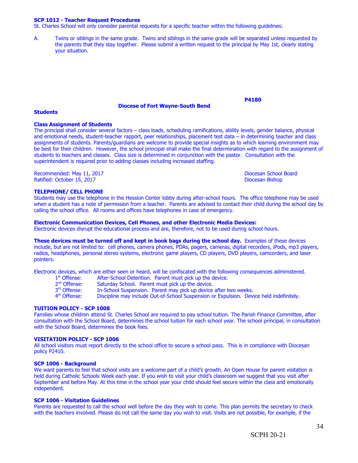#### **SCP 1012 - Teacher Request Procedures**

St. Charles School will only consider parental requests for a specific teacher within the following guidelines:

A. Twins or siblings in the same grade. Twins and siblings in the same grade will be separated unless requested by the parents that they stay together. Please submit a written request to the principal by May 1st, clearly stating your situation.

#### **Diocese of Fort Wayne-South Bend**

**P4180**

#### **Students**

#### **Class Assignment of Students**

The principal shall consider several factors – class loads, scheduling ramifications, ability levels, gender balance, physical and emotional needs, student-teacher rapport, peer relationships, placement test data – in determining teacher and class assignments of students. Parents/guardians are welcome to provide special insights as to which learning environment may be best for their children. However, the school principal shall make the final determination with regard to the assignment of students to teachers and classes. Class size is determined in conjunction with the pastor. Consultation with the superintendent is required prior to adding classes including increased staffing.

Recommended: May 11, 2017<br>
Ratified: October 15, 2017<br>
Ratified: October 15, 2017 Ratified: October 15, 2017

#### **TELEPHONE/ CELL PHONE**

Students may use the telephone in the Hession Center lobby during after-school hours. The office telephone may be used when a student has a note of permission from a teacher. Parents are advised to contact their child during the school day by calling the school office. All rooms and offices have telephones in case of emergency.

#### **Electronic Communication Devices, Cell Phones, and other Electronic Media Devices:**

Electronic devices disrupt the educational process and are, therefore, not to be used during school hours.

**These devices must be turned off and kept in book bags during the school day.** Examples of these devices include, but are not limited to: cell phones, camera phones, PDAs, pagers, cameras, digital recorders, iPods, mp3 players, radios, headphones, personal stereo systems, electronic game players, CD players, DVD players, camcorders, and laser pointers.

Electronic devices, which are either seen or heard, will be confiscated with the following consequences administered.

- 1<sup>st</sup> Offense: After-School Detention. Parent must pick up the device.
- 2<sup>nd</sup> Offense: Saturday School. Parent must pick up the device.
- 3rd Offense: In-School Suspension. Parent may pick up device after two weeks.
- 4<sup>th</sup> Offense: Discipline may include Out-of-School Suspension or Expulsion. Device held indefinitely.

#### **TUITION POLICY - SCP 1008**

Families whose children attend St. Charles School are required to pay school tuition. The Parish Finance Committee, after consultation with the School Board, determines the school tuition for each school year. The school principal, in consultation with the School Board, determines the book fees.

#### **VISITATION POLICY - SCP 1006**

All school visitors must report directly to the school office to secure a school pass. This is in compliance with Diocesan policy P2410.

#### **SCP 1006 - Background**

We want parents to feel that school visits are a welcome part of a child's growth. An Open House for parent visitation is held during Catholic Schools Week each year. If you wish to visit your child's classroom we suggest that you visit after September and before May. At this time in the school year your child should feel secure within the class and emotionally independent.

#### **SCP 1006 - Visitation Guidelines**

Parents are requested to call the school well before the day they wish to come. This plan permits the secretary to check with the teachers involved. Please do not call the same day you wish to visit. Visits are not possible, for example, if the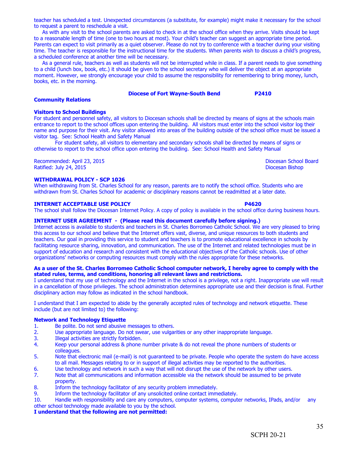35

 As a general rule, teachers as well as students will not be interrupted while in class. If a parent needs to give something to a child (lunch box, book, etc.) it should be given to the school secretary who will deliver the object at an appropriate moment. However, we strongly encourage your child to assume the responsibility for remembering to bring money, lunch, books, etc. in the morning.

teacher has scheduled a test. Unexpected circumstances (a substitute, for example) might make it necessary for the school

 As with any visit to the school parents are asked to check in at the school office when they arrive. Visits should be kept to a reasonable length of time (one to two hours at most). Your child's teacher can suggest an appropriate time period. Parents can expect to visit primarily as a quiet observer. Please do not try to conference with a teacher during your visiting

#### **Diocese of Fort Wayne-South Bend P2410**

#### **Visitors to School Buildings** For student and personnel safety, all visitors to Diocesan schools shall be directed by means of signs at the schools main entrance to report to the school offices upon entering the building. All visitors must enter into the school visitor log their name and purpose for their visit. Any visitor allowed into areas of the building outside of the school office must be issued a visitor tag. See: School Health and Safety Manual

For student safety, all visitors to elementary and secondary schools shall be directed by means of signs or otherwise to report to the school office upon entering the building. See: School Health and Safety Manual

Recommended: April 23, 2015 **Diocesan School Board**<br>Ratified: July 24, 2015 **Diocesan School Board** Ratified: July 24, 2015

**Community Relations**

#### **WITHDRAWAL POLICY - SCP 1026**

to request a parent to reschedule a visit.

When withdrawing from St. Charles School for any reason, parents are to notify the school office. Students who are withdrawn from St. Charles School for academic or disciplinary reasons cannot be readmitted at a later date.

#### **INTERNET ACCEPTABLE USE POLICY P4620**

The school shall follow the Diocesan Internet Policy. A copy of policy is available in the school office during business hours.

#### **INTERNET USER AGREEMENT - (Please read this document carefully before signing.)**

Internet access is available to students and teachers in St. Charles Borromeo Catholic School. We are very pleased to bring this access to our school and believe that the Internet offers vast, diverse, and unique resources to both students and teachers. Our goal in providing this service to student and teachers is to promote educational excellence in schools by facilitating resource sharing, innovation, and communication. The use of the Internet and related technologies must be in support of education and research and consistent with the educational objectives of the Catholic schools. Use of other organizations' networks or computing resources must comply with the rules appropriate for these networks.

#### **As a user of the St. Charles Borromeo Catholic School computer network, I hereby agree to comply with the stated rules, terms, and conditions, honoring all relevant laws and restrictions.**

I understand that my use of technology and the Internet in the school is a privilege, not a right. Inappropriate use will result in a cancellation of those privileges. The school administration determines appropriate use and their decision is final. Further disciplinary action may follow as indicated in the school handbook.

I understand that I am expected to abide by the generally accepted rules of technology and network etiquette. These include (but are not limited to) the following:

#### **Network and Technology Etiquette**

- 1. Be polite. Do not send abusive messages to others.
- 2. Use appropriate language. Do not swear, use vulgarities or any other inappropriate language.<br>3. Illegal activities are strictly forbidden.
- 3. Illegal activities are strictly forbidden.<br>4. Keep vour personal address & phone r
- Keep your personal address & phone number private & do not reveal the phone numbers of students or colleagues.
- 5. Note that electronic mail (e-mail) is not guaranteed to be private. People who operate the system do have access to all mail. Messages relating to or in support of illegal activities may be reported to the authorities.
- 6. Use technology and network in such a way that will not disrupt the use of the network by other users.
- 7. Note that all communications and information accessible via the network should be assumed to be private property.
- 8. Inform the technology facilitator of any security problem immediately.
- 9. Inform the technology facilitator of any unsolicited online contact immediately.

10. Handle with responsibility and care any computers, computer systems, computer networks, IPads, and/or any other school technology made available to you by the school.

#### **I understand that the following are not permitted:**

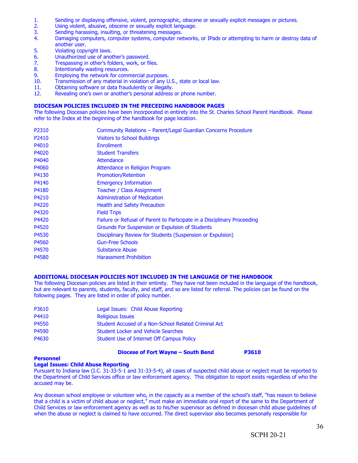- 1. Sending or displaying offensive, violent, pornographic, obscene or sexually explicit messages or pictures.
- 2. Using violent, abusive, obscene or sexually explicit language.
- 
- 3. Sending harassing, insulting, or threatening messages.<br>4. Damaging computers, computer systems, computer net Damaging computers, computer systems, computer networks, or IPads or attempting to harm or destroy data of another user.
- 5. Violating copyright laws.
- 6. Unauthorized use of another's password.
- 7. Trespassing in other's folders, work, or files.
- 8. Intentionally wasting resources.
- 9. Employing the network for commercial purposes.<br>10. Transmission of any material in violation of any U
- Transmission of any material in violation of any U.S., state or local law.
- 11. Obtaining software or data fraudulently or illegally.<br>12. Revealing one's own or another's personal address
- Revealing one's own or another's personal address or phone number.

#### **DIOCESAN POLICIES INCLUDED IN THE PRECEDING HANDBOOK PAGES**

The following Diocesan policies have been incorporated in entirety into the St. Charles School Parent Handbook. Please refer to the Index at the beginning of the handbook for page location.

| P <sub>2310</sub> | Community Relations - Parent/Legal Guardian Concerns Procedure           |
|-------------------|--------------------------------------------------------------------------|
| P <sub>2410</sub> | <b>Visitors to School Buildings</b>                                      |
| P4010             | <b>Enrollment</b>                                                        |
| P4020             | <b>Student Transfers</b>                                                 |
| P4040             | Attendance                                                               |
| P4060             | Attendance in Religion Program                                           |
| P4130             | <b>Promotion/Retention</b>                                               |
| P4140             | <b>Emergency Information</b>                                             |
| P4180             | <b>Teacher / Class Assignment</b>                                        |
| P4210             | <b>Administration of Medication</b>                                      |
| P4220             | <b>Health and Safety Precaution</b>                                      |
| P4320             | <b>Field Trips</b>                                                       |
| P4420             | Failure or Refusal of Parent to Participate in a Disciplinary Proceeding |
| P4520             | Grounds For Suspension or Expulsion of Students                          |
| P4530             | Disciplinary Review for Students (Suspension or Expulsion)               |
| P4560             | <b>Gun-Free Schools</b>                                                  |
| P4570             | <b>Substance Abuse</b>                                                   |
| P4580             | <b>Harassment Prohibition</b>                                            |

#### **ADDITIONAL DIOCESAN POLICIES NOT INCLUDED IN THE LANGUAGE OF THE HANDBOOK**

The following Diocesan policies are listed in their entirety. They have not been included in the language of the handbook, but are relevant to parents, students, faculty, and staff, and so are listed for referral. The policies can be found on the following pages. They are listed in order of policy number.

| P3610 | Legal Issues: Child Abuse Reporting                  |
|-------|------------------------------------------------------|
| P4410 | <b>Religious Issues</b>                              |
| P4550 | Student Accused of a Non-School Related Criminal Act |
| P4590 | <b>Student Locker and Vehicle Searches</b>           |
| P4630 | Student Use of Internet Off Campus Policy            |

#### **Diocese of Fort Wayne – South Bend P3610**

#### **Personnel**

#### **Legal Issues: Child Abuse Reporting**

Pursuant to Indiana law (I.C. 31-33-5-1 and 31-33-5-4), all cases of suspected child abuse or neglect must be reported to the Department of Child Services office or law enforcement agency. This obligation to report exists regardless of who the accused may be.

Any diocesan school employee or volunteer who, in the capacity as a member of the school's staff, "has reason to believe that a child is a victim of child abuse or neglect," must make an immediate oral report of the same to the Department of Child Services or law enforcement agency as well as to his/her supervisor as defined in diocesan child abuse guidelines of when the abuse or neglect is claimed to have occurred. The direct supervisor also becomes personally responsible for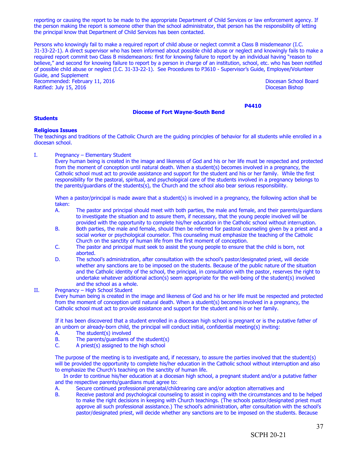reporting or causing the report to be made to the appropriate Department of Child Services or law enforcement agency. If the person making the report is someone other than the school administrator, that person has the responsibility of letting the principal know that Department of Child Services has been contacted.

Persons who knowingly fail to make a required report of child abuse or neglect commit a Class B misdemeanor (I.C. 31-33-22-1). A direct supervisor who has been informed about possible child abuse or neglect and knowingly fails to make a required report commit two Class B misdemeanors: first for knowing failure to report by an individual having "reason to believe," and second for knowing failure to report by a person in charge of an institution, school, etc. who has been notified of possible child abuse or neglect (I.C. 31-33-22-1). See Procedures to P3610 - Supervisor's Guide, Employee/Volunteer Guide, and Supplement Recommended: February 11, 2016 **Diocesan School Board** Diocesan School Board

Ratified: July 15, 2016 Diocesan Bishop

**Diocese of Fort Wayne-South Bend**

**P4410**

## **Students**

#### **Religious Issues**

The teachings and traditions of the Catholic Church are the guiding principles of behavior for all students while enrolled in a diocesan school.

I. Pregnancy – Elementary Student

Every human being is created in the image and likeness of God and his or her life must be respected and protected from the moment of conception until natural death. When a student(s) becomes involved in a pregnancy, the Catholic school must act to provide assistance and support for the student and his or her family. While the first responsibility for the pastoral, spiritual, and psychological care of the students involved in a pregnancy belongs to the parents/guardians of the students(s), the Church and the school also bear serious responsibility.

When a pastor/principal is made aware that a student(s) is involved in a pregnancy, the following action shall be taken:

- A. The pastor and principal should meet with both parties, the male and female, and their parents/guardians to investigate the situation and to assure them, if necessary, that the young people involved will be provided with the opportunity to complete his/her education in the Catholic school without interruption.
- B. Both parties, the male and female, should then be referred for pastoral counseling given by a priest and a social worker or psychological counselor. This counseling must emphasize the teaching of the Catholic Church on the sanctity of human life from the first moment of conception.
- C. The pastor and principal must seek to assist the young people to ensure that the child is born, not aborted.
- D. The school's administration, after consultation with the school's pastor/designated priest, will decide whether any sanctions are to be imposed on the students. Because of the public nature of the situation and the Catholic identity of the school, the principal, in consultation with the pastor, reserves the right to undertake whatever additional action(s) seem appropriate for the well-being of the student(s) involved and the school as a whole.

#### II. Pregnancy – High School Student

Every human being is created in the image and likeness of God and his or her life must be respected and protected from the moment of conception until natural death. When a student(s) becomes involved in a pregnancy, the Catholic school must act to provide assistance and support for the student and his or her family.

If it has been discovered that a student enrolled in a diocesan high school is pregnant or is the putative father of an unborn or already-born child, the principal will conduct initial, confidential meeting(s) inviting:

- A. The student(s) involved<br>B. The parents/guardians of
- B. The parents/guardians of the student(s)<br>C. A priest(s) assigned to the high school
- A priest $(s)$  assigned to the high school

The purpose of the meeting is to investigate and, if necessary, to assure the parties involved that the student(s) will be provided the opportunity to complete his/her education in the Catholic school without interruption and also to emphasize the Church's teaching on the sanctity of human life.

 In order to continue his/her education at a diocesan high school, a pregnant student and/or a putative father and the respective parents/guardians must agree to:

- A. Secure continued professional prenatal/childrearing care and/or adoption alternatives and<br>B. Receive pastoral and psychological counseling to assist in coping with the circumstances a
- B. Receive pastoral and psychological counseling to assist in coping with the circumstances and to be helped to make the right decisions in keeping with Church teachings. (The schools pastor/designated priest must approve all such professional assistance.) The school's administration, after consultation with the school's pastor/designated priest, will decide whether any sanctions are to be imposed on the students. Because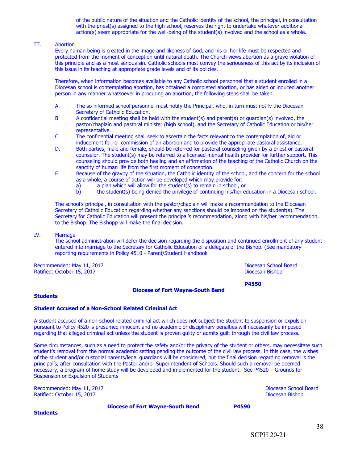of the public nature of the situation and the Catholic identity of the school, the principal, in consultation with the priest(s) assigned to the high school, reserves the right to undertake whatever additional action(s) seem appropriate for the well-being of the student(s) involved and the school as a whole.

#### III. Abortion

Every human being is created in the image and likeness of God, and his or her life must be respected and protected from the moment of conception until natural death. The Church views abortion as a grave violation of this principle and as a most serious sin. Catholic schools must convey the seriousness of this act by its inclusion of this issue in its teaching at appropriate grade levels and of its policies.

Therefore, when information becomes available to any Catholic school personnel that a student enrolled in a Diocesan school is contemplating abortion, has obtained a completed abortion, or has aided or induced another person in any manner whatsoever in procuring an abortion, the following steps shall be taken.

- A. The so informed school personnel must notify the Principal, who, in turn must notify the Diocesan Secretary of Catholic Education.
- B. A confidential meeting shall be held with the student(s) and parent(s) or guardian(s) involved, the pastor/chaplain and pastoral minister (high school), and the Secretary of Catholic Education or his/her representative.
- C. The confidential meeting shall seek to ascertain the facts relevant to the contemplation of, aid or inducement for, or commission of an abortion and to provide the appropriate pastoral assistance.
- D. Both parties, male and female, should be referred for pastoral counseling given by a priest or pastoral counselor. The student(s) may be referred to a licensed mental health provider for further support. This counseling should provide both healing and an affirmation of the teaching of the Catholic Church on the sanctity of human life from the first moment of conception.
- E. Because of the gravity of the situation, the Catholic identity of the school, and the concern for the school as a whole, a course of action will be developed which may provide for:
	-
	- a) a plan which will allow for the student(s) to remain in school, or the student(s) being denied the privilege of continuing his/her equals b) the student(s) being denied the privilege of continuing his/her education in a Diocesan school.

The school's principal, in consultation with the pastor/chaplain will make a recommendation to the Diocesan Secretary of Catholic Education regarding whether any sanctions should be imposed on the student(s). The Secretary for Catholic Education will present the principal's recommendation, along with his/her recommendation, to the Bishop. The Bishopp will make the final decision.

#### IV. Marriage

The school administration will defer the decision regarding the disposition and continued enrollment of any student entered into marriage to the Secretary for Catholic Education of a delegate of the Bishop. (See mandatory reporting requirements in Policy 4510 - Parent/Student Handbook

Recommended: May 11, 2017 **Diocesan School Board** Ratified: October 15, 2017 **Diocesan Bishop Bishop Contract Contract Contract Contract Contract Contract Contract Contract Contract Contract Contract Contract Contract Contract Contract Contract Contract Contract Contract** 

**P4550**

#### **Students**

#### **Student Accused of a Non-School Related Criminal Act**

A student accused of a non-school related criminal act which does not subject the student to suspension or expulsion pursuant to Policy 4520 is presumed innocent and no academic or disciplinary penalties will necessarily be imposed regarding that alleged criminal act unless the student is proven guilty or admits guilt through the civil law process.

Some circumstances, such as a need to protect the safety and/or the privacy of the student or others, may necessitate such student's removal from the normal academic setting pending the outcome of the civil law process. In this case, the wishes of the student and/or custodial parents/legal guardians will be considered, but the final decision regarding removal is the principal's, after consultation with the Pastor and/or Superintendent of Schools. Should such a removal be deemed necessary, a program of home study will be developed and implemented for the student. See P4520 – Grounds for Suspension or Expulsion of Students

**Diocese of Fort Wayne-South Bend**

Recommended: May 11, 2017 **Diocesan School Board** Ratified: October 15, 2017 Diocesan Bishop

**Diocese of Fort Wayne-South Bend P4590**

**Students**

SCPH 20-21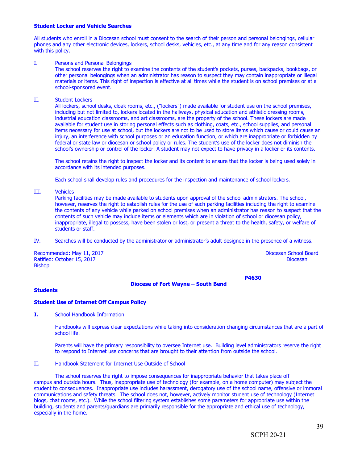#### **Student Locker and Vehicle Searches**

All students who enroll in a Diocesan school must consent to the search of their person and personal belongings, cellular phones and any other electronic devices, lockers, school desks, vehicles, etc., at any time and for any reason consistent with this policy.

#### I. Persons and Personal Belongings

The school reserves the right to examine the contents of the student's pockets, purses, backpacks, bookbags, or other personal belongings when an administrator has reason to suspect they may contain inappropriate or illegal materials or items. This right of inspection is effective at all times while the student is on school premises or at a school-sponsored event.

II. Student Lockers

All lockers, school desks, cloak rooms, etc., ("lockers") made available for student use on the school premises, including but not limited to, lockers located in the hallways, physical education and athletic dressing rooms, industrial education classrooms, and art classrooms, are the property of the school. These lockers are made available for student use in storing personal effects such as clothing, coats, etc., school supplies, and personal items necessary for use at school, but the lockers are not to be used to store items which cause or could cause an injury, an interference with school purposes or an education function, or which are inappropriate or forbidden by federal or state law or diocesan or school policy or rules. The student's use of the locker does not diminish the school's ownership or control of the locker. A student may not expect to have privacy in a locker or its contents.

The school retains the right to inspect the locker and its content to ensure that the locker is being used solely in accordance with its intended purposes.

Each school shall develop rules and procedures for the inspection and maintenance of school lockers.

III. Vehicles

Parking facilities may be made available to students upon approval of the school administrators. The school, however, reserves the right to establish rules for the use of such parking facilities including the right to examine the contents of any vehicle while parked on school premises when an administrator has reason to suspect that the contents of such vehicle may include items or elements which are in violation of school or diocesan policy, inappropriate, illegal to possess, have been stolen or lost, or present a threat to the health, safety, or welfare of students or staff.

IV. Searches will be conducted by the administrator or administrator's adult designee in the presence of a witness.

Recommended: May 11, 2017 **Diocesan School Board** Ratified: October 15, 2017 Diocesan Bishop

**P4630**

#### **Diocese of Fort Wayne – South Bend**

#### **Students**

#### **Student Use of Internet Off Campus Policy**

**I.** School Handbook Information

Handbooks will express clear expectations while taking into consideration changing circumstances that are a part of school life.

Parents will have the primary responsibility to oversee Internet use. Building level administrators reserve the right to respond to Internet use concerns that are brought to their attention from outside the school.

II. Handbook Statement for Internet Use Outside of School

The school reserves the right to impose consequences for inappropriate behavior that takes place off campus and outside hours. Thus, inappropriate use of technology (for example, on a home computer) may subject the student to consequences. Inappropriate use includes harassment, derogatory use of the school name, offensive or immoral communications and safety threats. The school does not, however, actively monitor student use of technology (Internet blogs, chat rooms, etc.). While the school filtering system establishes some parameters for appropriate use within the building, students and parents/guardians are primarily responsible for the appropriate and ethical use of technology, especially in the home.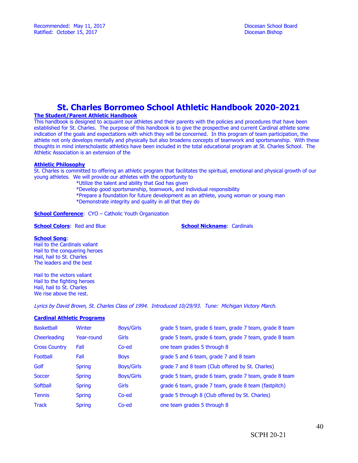## **St. Charles Borromeo School Athletic Handbook 2020-2021**

### **The Student/Parent Athletic Handbook**

This handbook is designed to acquaint our athletes and their parents with the policies and procedures that have been established for St. Charles. The purpose of this handbook is to give the prospective and current Cardinal athlete some indication of the goals and expectations with which they will be concerned. In this program of team participation, the athlete not only develops mentally and physically but also broadens concepts of teamwork and sportsmanship. With these thoughts in mind interscholastic athletics have been included in the total educational program at St. Charles School. The Athletic Association is an extension of the

#### **Athletic Philosophy**

St. Charles is committed to offering an athletic program that facilitates the spiritual, emotional and physical growth of our young athletes. We will provide our athletes with the opportunity to

- \*Utilize the talent and ability that God has given
- \*Develop good sportsmanship, teamwork, and individual responsibility
- \*Prepare a foundation for future development as an athlete, young woman or young man \*Demonstrate integrity and quality in all that they do

**School Conference:** CYO – Catholic Youth Organization

**School Colors: Red and Blue <b>School Nickname**: Cardinals

#### **School Song**:

Hail to the Cardinals valiant Hail to the conquering heroes Hail, hail to St. Charles The leaders and the best

Hail to the victors valiant Hail to the fighting heroes Hail, hail to St. Charles We rise above the rest.

Lyrics by David Brown, St. Charles Class of 1994. Introduced 10/29/93. Tune: Michigan Victory March.

#### **Cardinal Athletic Programs**

| <b>Basketball</b>    | Winter        | <b>Boys/Girls</b> | grade 5 team, grade 6 team, grade 7 team, grade 8 team |
|----------------------|---------------|-------------------|--------------------------------------------------------|
| Cheerleading         | Year-round    | <b>Girls</b>      | grade 5 team, grade 6 team, grade 7 team, grade 8 team |
| <b>Cross Country</b> | Fall          | Co-ed             | one team grades 5 through 8                            |
| Football             | Fall          | <b>Boys</b>       | grade 5 and 6 team, grade 7 and 8 team                 |
| Golf                 | <b>Spring</b> | <b>Boys/Girls</b> | grade 7 and 8 team (Club offered by St. Charles)       |
| Soccer               | <b>Spring</b> | <b>Boys/Girls</b> | grade 5 team, grade 6 team, grade 7 team, grade 8 team |
| Softball             | <b>Spring</b> | <b>Girls</b>      | grade 6 team, grade 7 team, grade 8 team (fastpitch)   |
| <b>Tennis</b>        | <b>Spring</b> | Co-ed             | grade 5 through 8 (Club offered by St. Charles)        |
| <b>Track</b>         | <b>Spring</b> | Co-ed             | one team grades 5 through 8                            |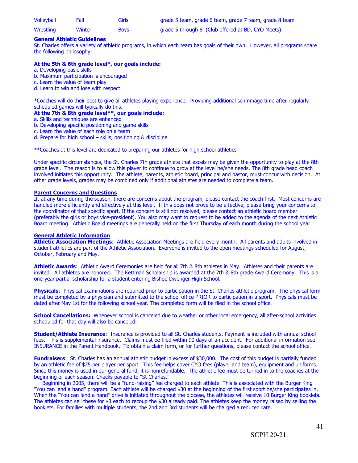| Volleyball | Fall   | <b>Girls</b> | grade 5 team, grade 6 team, grade 7 team, grade 8 team |
|------------|--------|--------------|--------------------------------------------------------|
| Wrestling  | Winter | <b>Boys</b>  | grade 5 through 8 (Club offered at BD, CYO Meets)      |

#### **General Athletic Guidelines**

St. Charles offers a variety of athletic programs, in which each team has goals of their own. However, all programs share the following philosophy:

#### **At the 5th & 6th grade level\*, our goals include:**

- a. Developing basic skills
- b. Maximum participation is encouraged
- c. Learn the value of team play
- d. Learn to win and lose with respect

\*Coaches will do their best to give all athletes playing experience. Providing additional scrimmage time after regularly scheduled games will typically do this.

#### **At the 7th & 8th grade level\*\*, our goals include:**

- a. Skills and techniques are enhanced
- b. Developing specific positioning and game skills
- c. Learn the value of each role on a team
- d. Prepare for high school skills, positioning & discipline

\*\*Coaches at this level are dedicated to preparing our athletes for high school athletics

Under specific circumstances, the St. Charles 7th grade athlete that excels may be given the opportunity to play at the 8th grade level. The reason is to allow this player to continue to grow at the level he/she needs. The 8th grade head coach involved initiates this opportunity. The athlete, parents, athletic board, principal and pastor, must concur with decision. At other grade levels, grades may be combined only if additional athletes are needed to complete a team.

#### **Parent Concerns and Questions**

If, at any time during the season, there are concerns about the program, please contact the coach first. Most concerns are handled more efficiently and effectively at this level. If this does not prove to be effective, please bring your concerns to the coordinator of that specific sport. If the concern is still not resolved, please contact an athletic board member (preferably the girls or boys vice-president). You also may want to request to be added to the agenda of the next Athletic Board meeting. Athletic Board meetings are generally held on the first Thursday of each month during the school year.

#### **General Athletic Information**

**Athletic Association Meetings**: Athletic Association Meetings are held every month. All parents and adults involved in student athletics are part of the Athletic Association. Everyone is invited to the open meetings scheduled for August, October, February and May.

**Athletic Awards**: Athletic Award Ceremonies are held for all 7th & 8th athletes in May. Athletes and their parents are invited. All athletes are honored. The Kettman Scholarship is awarded at the 7th & 8th grade Award Ceremony. This is a one-year partial scholarship for a student entering Bishop Dwenger High School.

**Physicals**: Physical examinations are required prior to participation in the St. Charles athletic program. The physical form must be completed by a physician and submitted to the school office PRIOR to participation in a sport. Physicals must be dated after May 1st for the following school year. The completed form will be filed in the school office.

**School Cancellations:** Whenever school is canceled due to weather or other local emergency, all after-school activities scheduled for that day will also be canceled.

**Student/Athlete Insurance**: Insurance is provided to all St. Charles students. Payment is included with annual school fees. This is supplemental insurance. Claims must be filed within 90 days of an accident. For additional information see INSURANCE in the Parent Handbook. To obtain a claim form, or for further questions, please contact the school office.

**Fundraisers**: St. Charles has an annual athletic budget in excess of \$30,000. The cost of this budget is partially funded by an athletic fee of \$25 per player per sport. This fee helps cover CYO fees (player and team), equipment and uniforms. Since this money is used in our general fund, it is nonrefundable. The athletic fee must be turned in to the coaches at the beginning of each season. Checks payable to "St Charles."

 Beginning in 2005, there will be a "fund-raising" fee charged to each athlete. This is associated with the Burger King "You can lend a hand" program. Each athlete will be charged \$30 at the beginning of the first sport he/she participates in. When the "You can lend a hand" drive is initiated throughout the diocese, the athletes will receive 10 Burger King booklets. The athletes can sell these for \$3 each to recoup the \$30 already paid. The athletes keep the money raised by selling the booklets. For families with multiple students, the 2nd and 3rd students will be charged a reduced rate.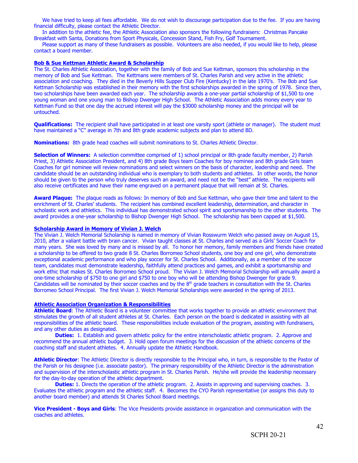We have tried to keep all fees affordable. We do not wish to discourage participation due to the fee. If you are having financial difficulty, please contact the Athletic Director.

 In addition to the athletic fee, the Athletic Association also sponsors the following fundraisers: Christmas Pancake Breakfast with Santa, Donations from Sport Physicals, Concession Stand, Fish Fry, Golf Tournament.

 Please support as many of these fundraisers as possible. Volunteers are also needed, if you would like to help, please contact a board member.

#### **Bob & Sue Kettman Athletic Award & Scholarship**

The St. Charles Athletic Association, together with the family of Bob and Sue Kettman, sponsors this scholarship in the memory of Bob and Sue Kettman. The Kettmans were members of St. Charles Parish and very active in the athletic association and coaching. They died in the Beverly Hills Supper Club Fire (Kentucky) in the late 1970's. The Bob and Sue Kettman Scholarship was established in their memory with the first scholarships awarded in the spring of 1978. Since then, two scholarships have been awarded each year. The scholarship awards a one-year partial scholarship of \$1,500 to one young woman and one young man to Bishop Dwenger High School. The Athletic Association adds money every year to Kettman Fund so that one day the accrued interest will pay the \$3000 scholarship money and the principal will be untouched.

**Qualifications:** The recipient shall have participated in at least one varsity sport (athlete or manager). The student must have maintained a "C" average in 7th and 8th grade academic subjects and plan to attend BD.

**Nominations:** 8th grade head coaches will submit nominations to St. Charles Athletic Director.

**Selection of Winners:** A selection committee comprised of 1) school principal or 8th grade faculty member, 2) Parish Priest, 3) Athletic Association President, and 4) 8th grade Boys team Coaches for boy nominee and 8th grade Girls team Coaches for girl nominee will review nominations and select winners on the basis of character, leadership and need. The candidate should be an outstanding individual who is exemplary to both students and athletes. In other words, the honor should be given to the person who truly deserves such an award, and need not be the "best" athlete. The recipients will also receive certificates and have their name engraved on a permanent plaque that will remain at St. Charles.

**Award Plaque:** The plaque reads as follows: In memory of Bob and Sue Kettman, who gave their time and talent to the enrichment of St. Charles' students. The recipient has combined excellent leadership, determination, and character in scholastic work and athletics. This individual has demonstrated school spirit and sportsmanship to the other students. The award provides a one-year scholarship to Bishop Dwenger High School. The scholarship has been capped at \$1,500.

#### **Scholarship Award in Memory of Vivian J. Welch**

The Vivian J. Welch Memorial Scholarship is named in memory of Vivian Rosswurm Welch who passed away on August 15, 2010, after a valiant battle with brain cancer. Vivian taught classes at St. Charles and served as a Girls' Soccer Coach for many years. She was loved by many and is missed by all. To honor her memory, family members and friends have created a scholarship to be offered to two grade 8 St. Charles Borromeo School students, one boy and one girl, who demonstrate exceptional academic performance and who play soccer for St. Charles School. Additionally, as a member of the soccer team, candidates must demonstrate leadership, faithfully attend practices and games, and exhibit a sportsmanship and work ethic that makes St. Charles Borromeo School proud. The Vivian J. Welch Memorial Scholarship will annually award a one-time scholarship of \$750 to one girl and \$750 to one boy who will be attending Bishop Dwenger for grade 9. Candidates will be nominated by their soccer coaches and by the  $8<sup>th</sup>$  grade teachers in consultation with the St. Charles Borromeo School Principal. The first Vivian J. Welch Memorial Scholarships were awarded in the spring of 2013.

#### **Athletic Association Organization & Responsibilities**

**Athletic Board**: The Athletic Board is a volunteer committee that works together to provide an athletic environment that stimulates the growth of all student athletes at St. Charles. Each person on the board is dedicated in assisting with all responsibilities of the athletic board. These responsibilities include evaluation of the program, assisting with fundraisers, and any other duties as designated.

**Duties:** 1. Establish and govern athletic policy for the entire interscholastic athletic program. 2. Approve and recommend the annual athletic budget. 3. Hold open forum meetings for the discussion of the athletic concerns of the coaching staff and student athletes. 4. Annually update the Athletic Handbook.

**Athletic Director**: The Athletic Director is directly responsible to the Principal who, in turn, is responsible to the Pastor of the Parish or his designee (i.e. associate pastor). The primary responsibility of the Athletic Director is the administration and supervision of the interscholastic athletic program in St. Charles Parish. He/she will provide the leadership necessary for the day-to-day operation of the athletic department.

**Duties:** 1. Directs the operation of the athletic program. 2. Assists in approving and supervising coaches. 3. Evaluates the athletic program and the athletic staff. 4. Becomes the CYO Parish representative (or assigns this duty to another board member) and attends St Charles School Board meetings.

**Vice President - Boys and Girls**: The Vice Presidents provide assistance in organization and communication with the coaches and athletes.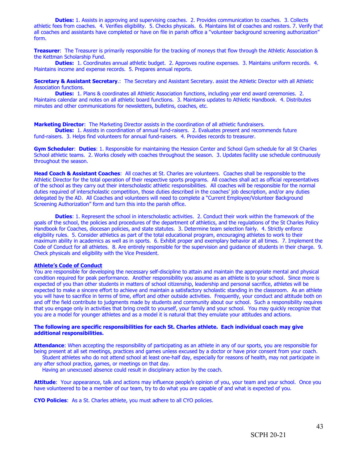**Duties:** 1. Assists in approving and supervising coaches. 2. Provides communication to coaches. 3. Collects athletic fees from coaches. 4. Verifies eligibility. 5. Checks physicals. 6. Maintains list of coaches and rosters. 7. Verify that all coaches and assistants have completed or have on file in parish office a "volunteer background screening authorization" form.

**Treasurer**: The Treasurer is primarily responsible for the tracking of moneys that flow through the Athletic Association & the Kettman Scholarship Fund.

**Duties:** 1. Coordinates annual athletic budget. 2. Approves routine expenses. 3. Maintains uniform records. 4. Maintains income and expense records. 5. Prepares annual reports.

**Secretary & Assistant Secretary**.: The Secretary and Assistant Secretary. assist the Athletic Director with all Athletic Association functions.

**Duties:** 1. Plans & coordinates all Athletic Association functions, including year end award ceremonies. 2. Maintains calendar and notes on all athletic board functions. 3. Maintains updates to Athletic Handbook. 4. Distributes minutes and other communications for newsletters, bulletins, coaches, etc.

**Marketing Director**: The Marketing Director assists in the coordination of all athletic fundraisers.

**Duties:** 1. Assists in coordination of annual fund-raisers. 2. Evaluates present and recommends future fund-raisers. 3. Helps find volunteers for annual fund-raisers. 4. Provides records to treasurer.

**Gym Scheduler**: **Duties**: 1. Responsible for maintaining the Hession Center and School Gym schedule for all St Charles School athletic teams. 2. Works closely with coaches throughout the season. 3. Updates facility use schedule continuously throughout the season.

**Head Coach & Assistant Coaches**: All coaches at St. Charles are volunteers. Coaches shall be responsible to the Athletic Director for the total operation of their respective sports programs. All coaches shall act as official representatives of the school as they carry out their interscholastic athletic responsibilities. All coaches will be responsible for the normal duties required of interscholastic competition, those duties described in the coaches' job description, and/or any duties delegated by the AD. All Coaches and volunteers will need to complete a "Current Employee/Volunteer Background Screening Authorization" form and turn this into the parish office.

**Duties**: 1. Represent the school in interscholastic activities. 2. Conduct their work within the framework of the goals of the school, the policies and procedures of the department of athletics, and the regulations of the St Charles Policy Handbook for Coaches, diocesan policies, and state statutes. 3. Determine team selection fairly. 4. Strictly enforce eligibility rules. 5. Consider athletics as part of the total educational program, encouraging athletes to work to their maximum ability in academics as well as in sports. 6. Exhibit proper and exemplary behavior at all times. 7. Implement the Code of Conduct for all athletes. 8. Are entirely responsible for the supervision and guidance of students in their charge. 9. Check physicals and eligibility with the Vice President.

#### **Athlete's Code of Conduct**

You are responsible for developing the necessary self-discipline to attain and maintain the appropriate mental and physical condition required for peak performance. Another responsibility you assume as an athlete is to your school. Since more is expected of you than other students in matters of school citizenship, leadership and personal sacrifice, athletes will be expected to make a sincere effort to achieve and maintain a satisfactory scholastic standing in the classroom. As an athlete you will have to sacrifice in terms of time, effort and other outside activities. Frequently, your conduct and attitude both on and off the field contribute to judgments made by students and community about our school. Such a responsibility requires that you engage only in activities that bring credit to yourself, your family and your school. You may quickly recognize that you are a model for younger athletes and as a model it is natural that they emulate your attitudes and actions.

#### **The following are specific responsibilities for each St. Charles athlete. Each individual coach may give additional responsibilities.**

**Attendance**: When accepting the responsibility of participating as an athlete in any of our sports, you are responsible for being present at all set meetings, practices and games unless excused by a doctor or have prior consent from your coach.

 Student athletes who do not attend school at least one-half day, especially for reasons of health, may not participate in any after school practice, games, or meetings on that day.

Having an unexcused absence could result in disciplinary action by the coach.

**Attitude**: Your appearance, talk and actions may influence people's opinion of you, your team and your school. Once you have volunteered to be a member of our team, try to do what you are capable of and what is expected of you.

**CYO Policies**: As a St. Charles athlete, you must adhere to all CYO policies.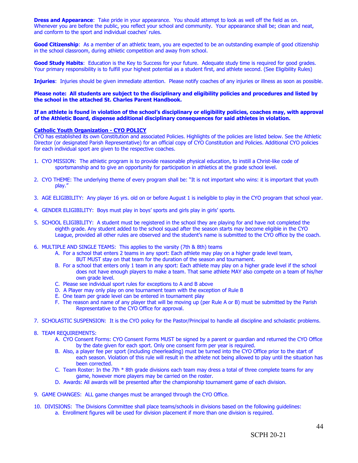**Dress and Appearance**: Take pride in your appearance. You should attempt to look as well off the field as on. Whenever you are before the public, you reflect your school and community. Your appearance shall be; clean and neat, and conform to the sport and individual coaches' rules.

**Good Citizenship**: As a member of an athletic team, you are expected to be an outstanding example of good citizenship in the school classroom, during athletic competition and away from school.

**Good Study Habits**: Education is the Key to Success for your future. Adequate study time is required for good grades. Your primary responsibility is to fulfill your highest potential as a student first, and athlete second. (See Eligibility Rules)

**Injuries**: Injuries should be given immediate attention. Please notify coaches of any injuries or illness as soon as possible.

#### **Please note: All students are subject to the disciplinary and eligibility policies and procedures and listed by the school in the attached St. Charles Parent Handbook.**

#### **If an athlete is found in violation of the school's disciplinary or eligibility policies, coaches may, with approval of the Athletic Board, dispense additional disciplinary consequences for said athletes in violation.**

#### **Catholic Youth Organization - CYO POLICY**

CYO has established its own Constitution and associated Policies. Highlights of the policies are listed below. See the Athletic Director (or designated Parish Representative) for an official copy of CYO Constitution and Policies. Additional CYO policies for each individual sport are given to the respective coaches.

- 1. CYO MISSION: The athletic program is to provide reasonable physical education, to instill a Christ-like code of sportsmanship and to give an opportunity for participation in athletics at the grade school level.
- 2. CYO THEME: The underlying theme of every program shall be: "It is not important who wins: it is important that youth play."
- 3. AGE ELIGIBILITY: Any player 16 yrs. old on or before August 1 is ineligible to play in the CYO program that school year.
- 4. GENDER ELIGIBILITY: Boys must play in boys' sports and girls play in girls' sports.
- 5. SCHOOL ELIGIBILITY: A student must be registered in the school they are playing for and have not completed the eighth grade. Any student added to the school squad after the season starts may become eligible in the CYO League, provided all other rules are observed and the student's name is submitted to the CYO office by the coach.
- 6. MULTIPLE AND SINGLE TEAMS: This applies to the varsity (7th & 8th) teams
	- A. For a school that enters 2 teams in any sport: Each athlete may play on a higher grade level team, BUT MUST stay on that team for the duration of the season and tournament.
	- B. For a school that enters only 1 team in any sport: Each athlete may play on a higher grade level if the school does not have enough players to make a team. That same athlete MAY also compete on a team of his/her own grade level.
	- C. Please see individual sport rules for exceptions to A and B above
	- D. A Player may only play on one tournament team with the exception of Rule B
	- E. One team per grade level can be entered in tournament play
	- F. The reason and name of any player that will be moving up (per Rule A or B) must be submitted by the Parish Representative to the CYO Office for approval.
- 7. SCHOLASTIC SUSPENSION: It is the CYO policy for the Pastor/Principal to handle all discipline and scholastic problems.

#### 8. TEAM REQUIREMENTS:

- A. CYO Consent Forms: CYO Consent Forms MUST be signed by a parent or guardian and returned the CYO Office by the date given for each sport. Only one consent form per year is required.
- B. Also, a player fee per sport (including cheerleading) must be turned into the CYO Office prior to the start of each season. Violation of this rule will result in the athlete not being allowed to play until the situation has been corrected.
- C. Team Roster: In the 7th \* 8th grade divisions each team may dress a total of three complete teams for any game, however more players may be carried on the roster.
- D. Awards: All awards will be presented after the championship tournament game of each division.
- 9. GAME CHANGES: ALL game changes must be arranged through the CYO Office.
- 10. DIVISIONS: The Divisions Committee shall place teams/schools in divisions based on the following guidelines: a. Enrollment figures will be used for division placement if more than one division is required.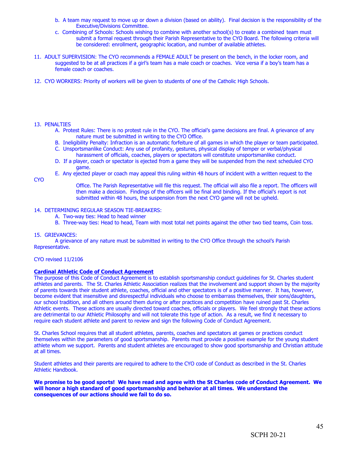- b. A team may request to move up or down a division (based on ability). Final decision is the responsibility of the Executive/Divisions Committee.
- c. Combining of Schools: Schools wishing to combine with another school(s) to create a combined team must submit a formal request through their Parish Representative to the CYO Board. The following criteria will be considered: enrollment, geographic location, and number of available athletes.
- 11. ADULT SUPERVISION: The CYO recommends a FEMALE ADULT be present on the bench, in the locker room, and suggested to be at all practices if a girl's team has a male coach or coaches. Vice versa if a boy's team has a female coach or coaches.
- 12. CYO WORKERS: Priority of workers will be given to students of one of the Catholic High Schools.

#### 13. PENALTIES

- A. Protest Rules: There is no protest rule in the CYO. The official's game decisions are final. A grievance of any nature must be submitted in writing to the CYO Office.
- B. Ineligibility Penalty: Infraction is an automatic forfeiture of all games in which the player or team participated. C. Unsportsmanlike Conduct: Any use of profanity, gestures, physical display of temper or verbal/physical
- harassment of officials, coaches, players or spectators will constitute unsportsmanlike conduct.
- D. If a player, coach or spectator is ejected from a game they will be suspended from the next scheduled CYO game.
- E. Any ejected player or coach may appeal this ruling within 48 hours of incident with a written request to the

**CYO** 

Office. The Parish Representative will file this request. The official will also file a report. The officers will then make a decision. Findings of the officers will be final and binding. If the official's report is not submitted within 48 hours, the suspension from the next CYO game will not be upheld.

#### 14. DETERMINING REGULAR SEASON TIE-BREAKERS:

- A. Two-way ties: Head to head winner
- B. Three-way ties: Head to head, Team with most total net points against the other two tied teams, Coin toss.

#### 15. GRIEVANCES:

A grievance of any nature must be submitted in writing to the CYO Office through the school's Parish Representative.

#### CYO revised 11/2106

#### **Cardinal Athletic Code of Conduct Agreement**

The purpose of this Code of Conduct Agreement is to establish sportsmanship conduct guidelines for St. Charles student athletes and parents. The St. Charles Athletic Association realizes that the involvement and support shown by the majority of parents towards their student athlete, coaches, official and other spectators is of a positive manner. It has, however, become evident that insensitive and disrespectful individuals who choose to embarrass themselves, their sons/daughters, our school tradition, and all others around them during or after practices and competition have ruined past St. Charles Athletic events. These actions are usually directed toward coaches, officials or players. We feel strongly that these actions are detrimental to our Athletic Philosophy and will not tolerate this type of action. As a result, we find it necessary to require each student athlete and parent to review and sign the following Code of Conduct Agreement.

St. Charles School requires that all student athletes, parents, coaches and spectators at games or practices conduct themselves within the parameters of good sportsmanship. Parents must provide a positive example for the young student athlete whom we support. Parents and student athletes are encouraged to show good sportsmanship and Christian attitude at all times.

Student athletes and their parents are required to adhere to the CYO code of Conduct as described in the St. Charles Athletic Handbook.

**We promise to be good sports! We have read and agree with the St Charles code of Conduct Agreement. We will honor a high standard of good sportsmanship and behavior at all times. We understand the consequences of our actions should we fail to do so.**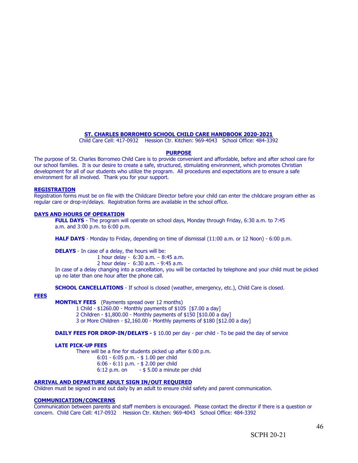#### **ST. CHARLES BORROMEO SCHOOL CHILD CARE HANDBOOK 2020-2021**

Child Care Cell: 417-0932 Hession Ctr. Kitchen: 969-4043 School Office: 484-3392

#### **PURPOSE**

The purpose of St. Charles Borromeo Child Care is to provide convenient and affordable, before and after school care for our school families. It is our desire to create a safe, structured, stimulating environment, which promotes Christian development for all of our students who utilize the program. All procedures and expectations are to ensure a safe environment for all involved. Thank you for your support.

#### **REGISTRATION**

Registration forms must be on file with the Childcare Director before your child can enter the childcare program either as regular care or drop-in/delays. Registration forms are available in the school office.

#### **DAYS AND HOURS OF OPERATION**

**FULL DAYS** - The program will operate on school days, Monday through Friday, 6:30 a.m. to 7:45 a.m. and 3:00 p.m. to 6:00 p.m.

**HALF DAYS** - Monday to Friday, depending on time of dismissal (11:00 a.m. or 12 Noon) - 6:00 p.m.

**DELAYS** - In case of a delay, the hours will be:

1 hour delay - 6:30 a.m. – 8:45 a.m.

2 hour delay - 6:30 a.m. - 9:45 a.m.

In case of a delay changing into a cancellation, you will be contacted by telephone and your child must be picked up no later than one hour after the phone call.

**SCHOOL CANCELLATIONS** - If school is closed (weather, emergency, etc.), Child Care is closed.

#### **FEES**

**MONTHLY FEES** (Payments spread over 12 months)

1 Child - \$1260.00 - Monthly payments of \$105 [\$7.00 a day] 2 Children - \$1,800.00 - Monthly payments of \$150 [\$10.00 a day] 3 or More Children - \$2,160.00 - Monthly payments of \$180 [\$12.00 a day]

**DAILY FEES FOR DROP-IN/DELAYS - \$ 10.00 per day - per child - To be paid the day of service** 

#### **LATE PICK-UP FEES**

There will be a fine for students picked up after 6:00 p.m. 6:01 - 6:05 p.m. - \$ 1.00 per child 6:06 - 6:11 p.m. - \$ 2.00 per child 6:12 p.m. on  $-$  \$ 5.00 a minute per child

#### **ARRIVAL AND DEPARTURE ADULT SIGN IN/OUT REQUIRED**

Children must be signed in and out daily by an adult to ensure child safety and parent communication.

#### **COMMUNICATION/CONCERNS**

Communication between parents and staff members is encouraged. Please contact the director if there is a question or concern. Child Care Cell: 417-0932 Hession Ctr. Kitchen: 969-4043 School Office: 484-3392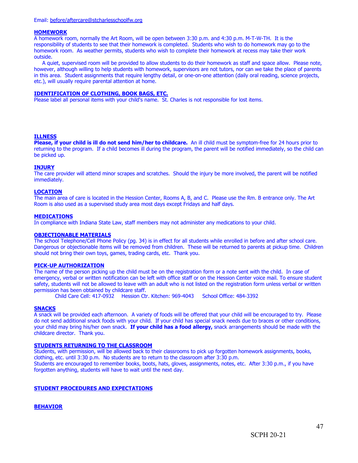#### **HOMEWORK**

A homework room, normally the Art Room, will be open between 3:30 p.m. and 4:30 p.m. M-T-W-TH. It is the responsibility of students to see that their homework is completed. Students who wish to do homework may go to the homework room. As weather permits, students who wish to complete their homework at recess may take their work outside.

 A quiet, supervised room will be provided to allow students to do their homework as staff and space allow. Please note, however, although willing to help students with homework, supervisors are not tutors,nor can we take the place of parents in this area. Student assignments that require lengthy detail, or one-on-one attention (daily oral reading, science projects, etc.), will usually require parental attention at home.

#### **IDENTIFICATION OF CLOTHING, BOOK BAGS, ETC.**

Please label all personal items with your child's name. St. Charles is not responsible for lost items.

#### **ILLNESS**

**Please, if your child is ill do not send him/her to childcare.**  An ill child must be symptom-free for 24 hours prior to returning to the program. If a child becomes ill during the program, the parent will be notified immediately, so the child can be picked up.

#### **INJURY**

The care provider will attend minor scrapes and scratches. Should the injury be more involved, the parent will be notified immediately.

#### **LOCATION**

The main area of care is located in the Hession Center, Rooms A, B, and C. Please use the Rm. B entrance only. The Art Room is also used as a supervised study area most days except Fridays and half days.

#### **MEDICATIONS**

In compliance with Indiana State Law, staff members may not administer any medications to your child.

#### **OBJECTIONABLE MATERIALS**

The school Telephone/Cell Phone Policy (pg. 34) is in effect for all students while enrolled in before and after school care. Dangerous or objectionable items will be removed from children. These will be returned to parents at pickup time. Children should not bring their own toys, games, trading cards, etc. Thank you.

#### **PICK-UP AUTHORIZATION**

The name of the person picking up the child must be on the registration form or a note sent with the child. In case of emergency, verbal or written notification can be left with office staff or on the Hession Center voice mail. To ensure student safety, students will not be allowed to leave with an adult who is not listed on the registration form unless verbal or written permission has been obtained by childcare staff.

Child Care Cell: 417-0932 Hession Ctr. Kitchen: 969-4043 School Office: 484-3392

#### **SNACKS**

A snack will be provided each afternoon. A variety of foods will be offered that your child will be encouraged to try. Please do not send additional snack foods with your child. If your child has special snack needs due to braces or other conditions, your child may bring his/her own snack. **If your child has a food allergy,** snack arrangements should be made with the childcare director. Thank you.

#### **STUDENTS RETURNING TO THE CLASSROOM**

Students, with permission, will be allowed back to their classrooms to pick up forgotten homework assignments, books, clothing, etc. until 3:30 p.m. No students are to return to the classroom after 3:30 p.m. Students are encouraged to remember books, boots, hats, gloves, assignments, notes, etc. After 3:30 p.m., if you have forgotten anything, students will have to wait until the next day.

#### **STUDENT PROCEDURES AND EXPECTATIONS**

**BEHAVIOR**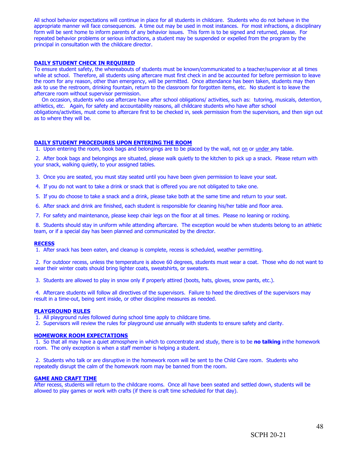All school behavior expectations will continue in place for all students in childcare. Students who do not behave in the appropriate manner will face consequences. A time out may be used in most instances. For most infractions, a disciplinary form will be sent home to inform parents of any behavior issues. This form is to be signed and returned, please. For repeated behavior problems or serious infractions, a student may be suspended or expelled from the program by the principal in consultation with the childcare director.

#### **DAILY STUDENT CHECK IN REQUIRED**

To ensure student safety, the whereabouts of students must be known/communicated to a teacher/supervisor at all times while at school. Therefore, all students using aftercare must first check in and be accounted for before permission to leave the room for any reason, other than emergency, will be permitted. Once attendance has been taken, students may then ask to use the restroom, drinking fountain, return to the classroom for forgotten items, etc. No student is to leave the aftercare room without supervisor permission.

 On occasion, students who use aftercare have after school obligations/ activities, such as: tutoring, musicals, detention, athletics, etc. Again, for safety and accountability reasons, all childcare students who have after school obligations/activities, must come to aftercare first to be checked in, seek permission from the supervisors, and then sign out as to where they will be.

#### **DAILY STUDENT PROCEDURES UPON ENTERING THE ROOM**

1. Upon entering the room, book bags and belongings are to be placed by the wall, not on or under any table.

 2. After book bags and belongings are situated, please walk quietlyto the kitchen to pick up a snack. Please return with your snack, walking quietly,to your assigned tables.

3. Once you are seated, you must stay seated until you have been given permission to leave your seat.

4. If you do not want to take a drink or snack that is offered you are not obligated to take one.

5. If you do choose to take a snack and a drink, please take both at the same time and return to your seat.

6. After snack and drink are finished, each student is responsible for cleaning his/her table and floor area.

7. For safety and maintenance, please keep chair legs on the floor at all times. Please no leaning or rocking.

 8. Students should stay in uniform while attending aftercare. The exception would be when students belong to an athletic team, or if a special day has been planned and communicated by the director.

#### **RECESS**

1. After snack has been eaten, and cleanup is complete, recess is scheduled, weather permitting.

 2. For outdoor recess, unless the temperature is above 60 degrees, students must wear a coat. Those who do not want to wear their winter coats should bring lighter coats, sweatshirts, or sweaters.

3. Students are allowed to play in snow only if properly attired (boots, hats, gloves, snow pants, etc.).

 4. Aftercare students will follow all directives of the supervisors. Failure to heed the directives of the supervisors may result in a time-out, being sent inside, or other discipline measures as needed.

#### **PLAYGROUND RULES**

1. All playground rules followed during school time apply to childcare time.

2. Supervisors will review the rules for playground use annually with students to ensure safety and clarity.

#### **HOMEWORK ROOM EXPECTATIONS**

 1. So that all may have a quiet atmosphere in which to concentrate and study, there is to be **no talking** inthe homework room. The only exception is when a staff member is helping a student.

 2. Students who talk or are disruptive in the homework room will be sent to the Child Care room. Students who repeatedly disrupt the calm of the homework room may be banned from the room.

#### **GAME AND CRAFT TIME**

After recess, students will return to the childcare rooms. Once all have been seated and settled down, students will be allowed to play games or work with crafts (if there is craft time scheduled for that day).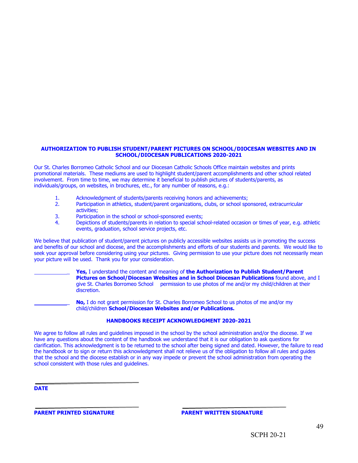#### **AUTHORIZATION TO PUBLISH STUDENT/PARENT PICTURES ON SCHOOL/DIOCESAN WEBSITES AND IN SCHOOL/DIOCESAN PUBLICATIONS 2020-2021**

Our St. Charles Borromeo Catholic School and our Diocesan Catholic Schools Office maintain websites and prints promotional materials. These mediums are used to highlight student/parent accomplishments and other school related involvement. From time to time, we may determine it beneficial to publish pictures of students/parents, as individuals/groups, on websites, in brochures, etc., for any number of reasons, e.g.:

- 1. Acknowledgment of students/parents receiving honors and achievements;<br>2. Participation in athletics, student/parent organizations, clubs, or school spo
- Participation in athletics, student/parent organizations, clubs, or school sponsored, extracurricular activities;
- 3. Participation in the school or school-sponsored events;<br>4. Depictions of students/parents in relation to special sch
- Depictions of students/parents in relation to special school-related occasion or times of year, e.g. athletic events, graduation, school service projects, etc.

We believe that publication of student/parent pictures on publicly accessible websites assists us in promoting the success and benefits of our school and diocese, and the accomplishments and efforts of our students and parents. We would like to seek your approval before considering using your pictures. Giving permission to use your picture does not necessarily mean your picture will be used. Thank you for your consideration.

> \_ **Yes,** I understand the content and meaning of **the Authorization to Publish Student/Parent Pictures on School/Diocesan Websites and in School Diocesan Publications** found above, and I give St. Charles Borromeo School permission to use photos of me and/or my child/children at their discretion.

No, I do not grant permission for St. Charles Borromeo School to us photos of me and/or my child/children **School/Diocesan Websites and/or Publications.**

#### **HANDBOOKS RECEIPT ACKNOWLEDGMENT 2020-2021**

We agree to follow all rules and guidelines imposed in the school by the school administration and/or the diocese. If we have any questions about the content of the handbook we understand that it is our obligation to ask questions for clarification. This acknowledgment is to be returned to the school after being signed and dated. However, the failure to read the handbook or to sign or return this acknowledgment shall not relieve us of the obligation to follow all rules and guides that the school and the diocese establish or in any way impede or prevent the school administration from operating the school consistent with those rules and quidelines.

**DATE**